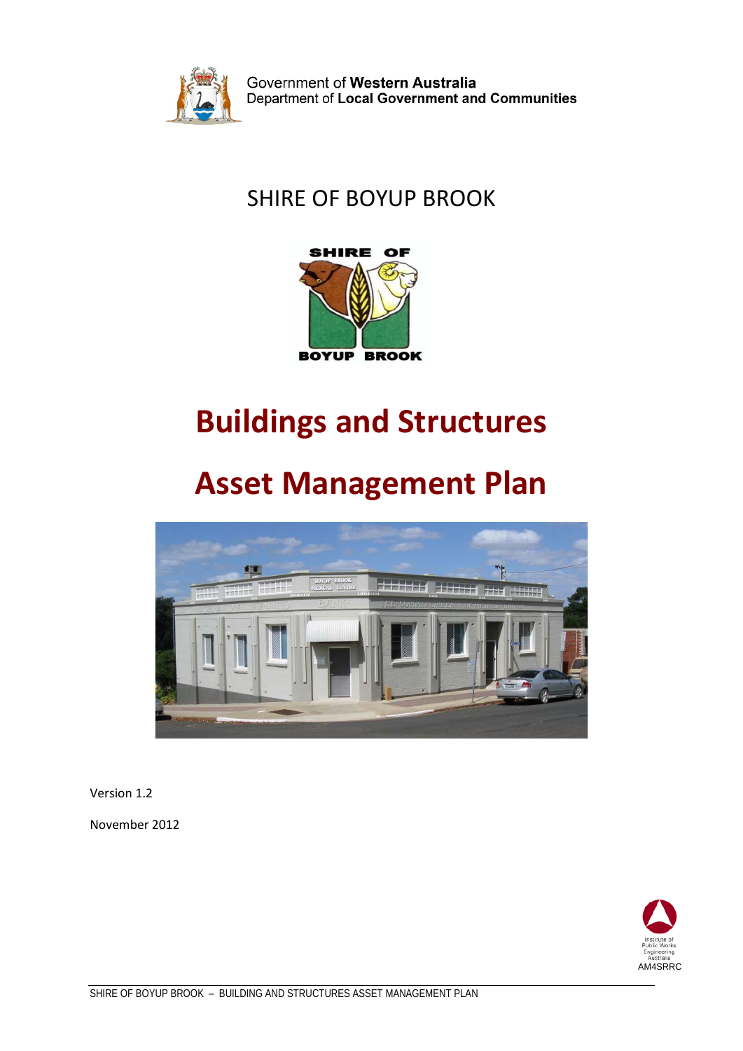

Government of Western Australia Department of Local Government and Communities

# SHIRE OF BOYUP BROOK



# **Buildings and Structures**

# **Asset Management Plan**



Version 1.2

November 2012

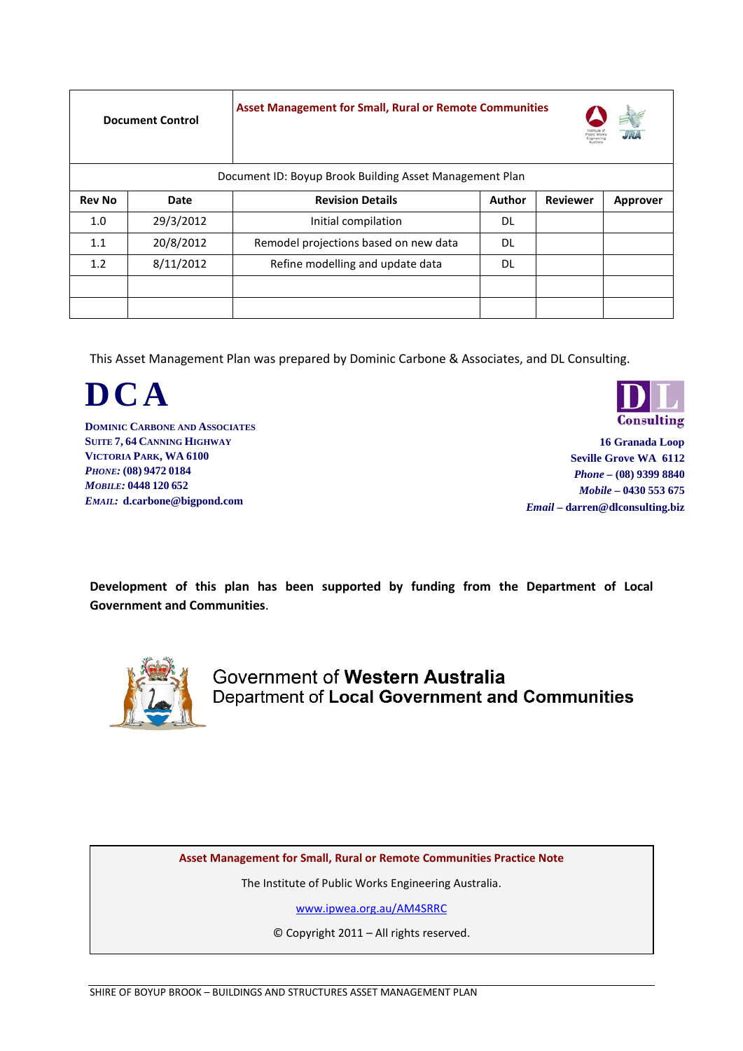| <b>Document Control</b> |           | <b>Asset Management for Small, Rural or Remote Communities</b> |               |                 |          |
|-------------------------|-----------|----------------------------------------------------------------|---------------|-----------------|----------|
|                         |           | Document ID: Boyup Brook Building Asset Management Plan        |               |                 |          |
| <b>Rev No</b>           | Date      | <b>Revision Details</b>                                        | <b>Author</b> | <b>Reviewer</b> | Approver |
| 1.0                     | 29/3/2012 | Initial compilation                                            | DL.           |                 |          |
| 1.1                     | 20/8/2012 | Remodel projections based on new data                          | DL.           |                 |          |
| 1.2                     | 8/11/2012 | Refine modelling and update data                               | DL.           |                 |          |
|                         |           |                                                                |               |                 |          |
|                         |           |                                                                |               |                 |          |

This Asset Management Plan was prepared by Dominic Carbone & Associates, and DL Consulting.

**DCA DOMINIC CARBONE AND ASSOCIATES SUITE 7, 64 CANNING HIGHWAY VICTORIA PARK, WA 6100** *PHONE:* **(08) 9472 0184** *MOBILE:* **0448 120 652** *EMAIL:* **d.carbone@bigpond.com**



**16 Granada Loop Seville Grove WA 6112** *Phone* **– (08) 9399 8840** *Mobile* **– 0430 553 675** *Email* **– darren@dlconsulting.biz**

**Development of this plan has been supported by funding from the Department of Local Government and Communities**.



Government of Western Australia Department of Local Government and Communities

**Asset Management for Small, Rural or Remote Communities Practice Note**

The Institute of Public Works Engineering Australia.

[www.ipwea.org.au/AM4SRRC](http://www.ipwea.org.au/AM4SRRC)

© Copyright 2011 – All rights reserved.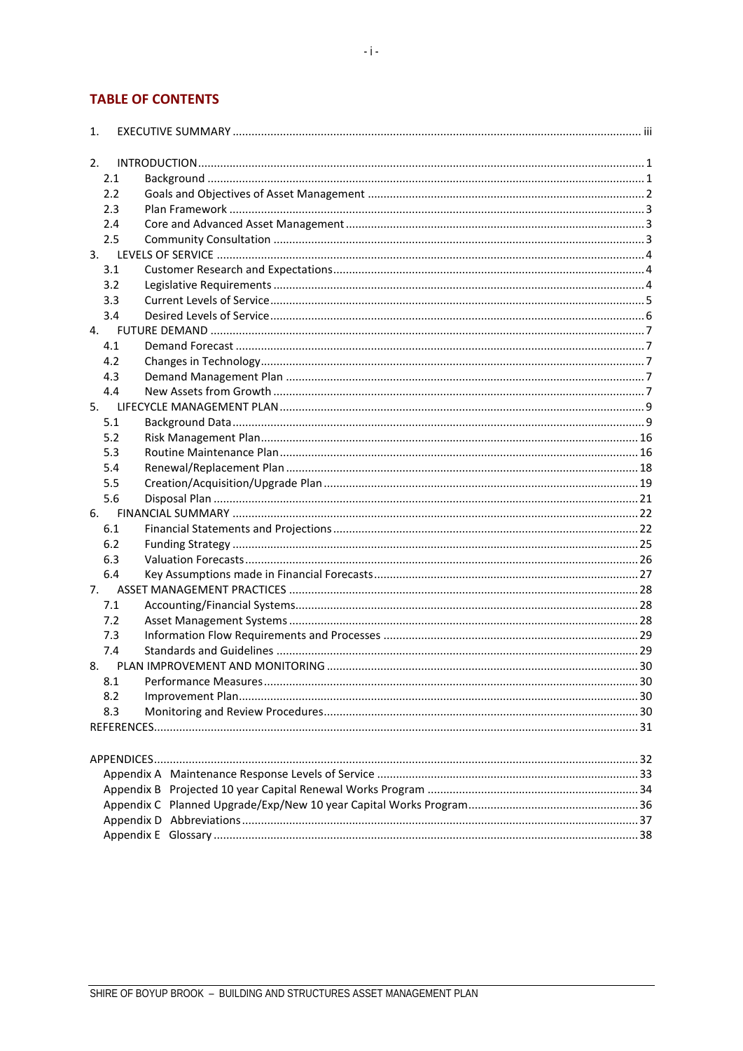# **TABLE OF CONTENTS**

| 2.         |  |
|------------|--|
|            |  |
|            |  |
| 2.1<br>2.2 |  |
| 2.3        |  |
|            |  |
| 2.4        |  |
| 2.5        |  |
|            |  |
| 3.1        |  |
| 3.2<br>3.3 |  |
| 3.4        |  |
| 4.         |  |
| 4.1        |  |
| 4.2        |  |
| 4.3        |  |
| 4.4        |  |
| 5.         |  |
| 5.1        |  |
| 5.2        |  |
| 5.3        |  |
| 5.4        |  |
| 5.5        |  |
| 5.6        |  |
| 6.         |  |
| 6.1        |  |
| 6.2        |  |
| 6.3        |  |
| 6.4        |  |
| 7.         |  |
| 7.1        |  |
| 7.2        |  |
| 7.3        |  |
| 7.4        |  |
| 8.         |  |
| 8.1        |  |
| 8.2        |  |
| 8.3        |  |
|            |  |
|            |  |
|            |  |
|            |  |
|            |  |
|            |  |
|            |  |
|            |  |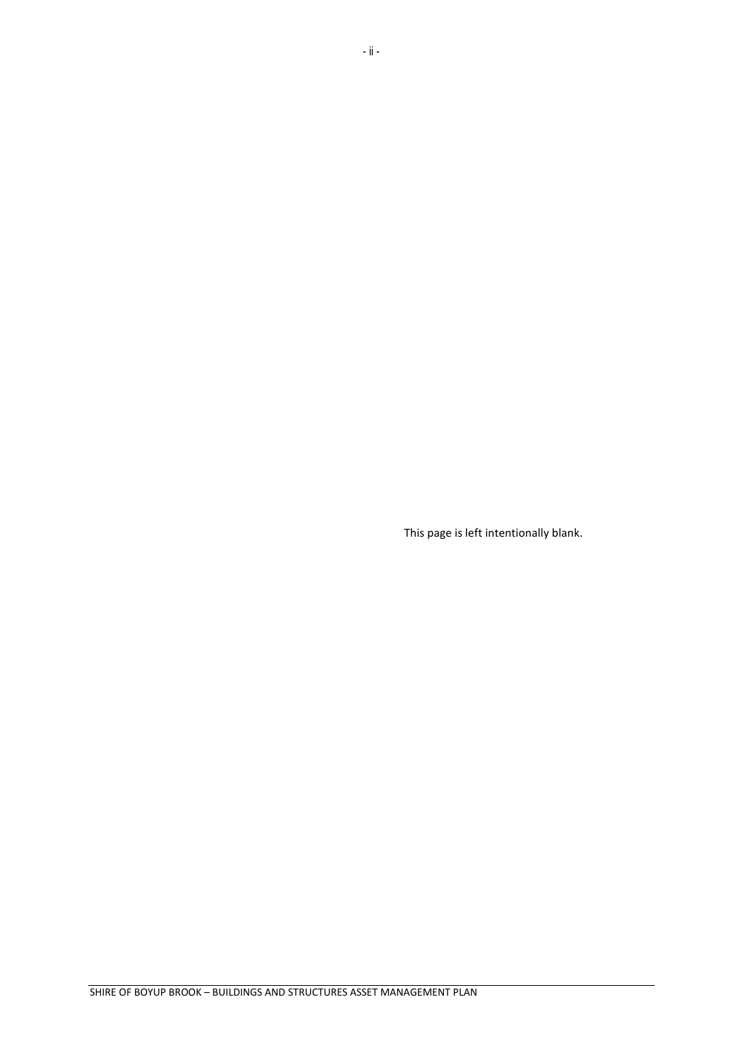This page is left intentionally blank.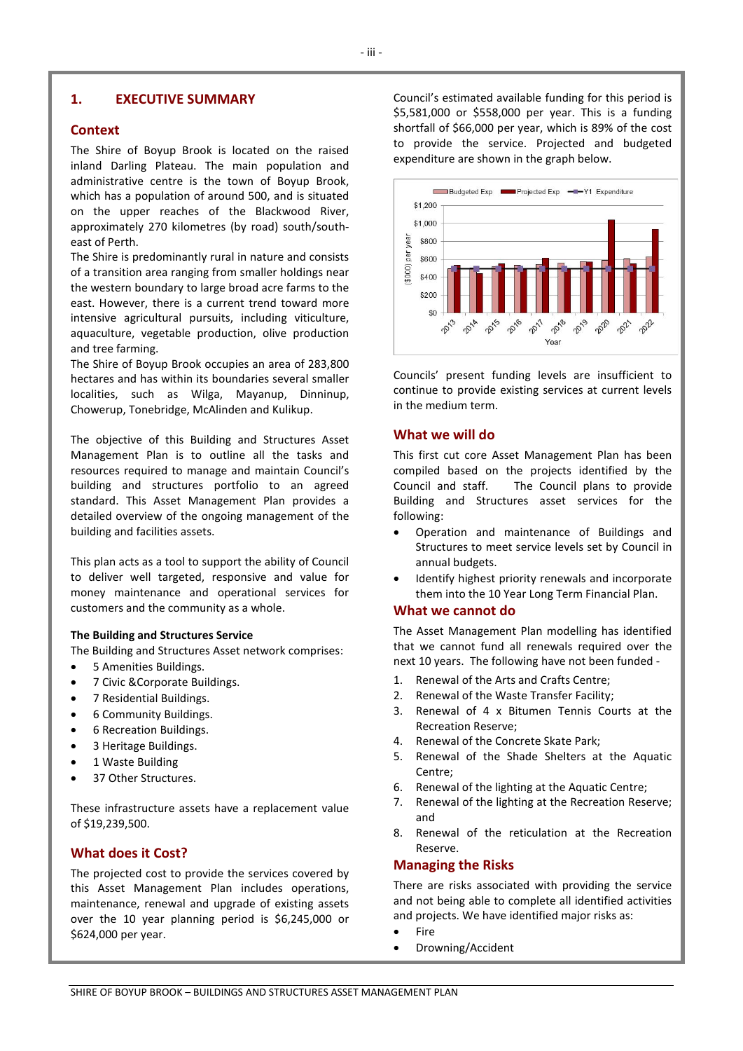## <span id="page-4-0"></span>**1. EXECUTIVE SUMMARY**

## **Context**

The Shire of Boyup Brook is located on the raised inland Darling Plateau. The main population and administrative centre is the town of Boyup Brook, which has a population of around 500, and is situated on the upper reaches of the Blackwood River, approximately 270 kilometres (by road) south/southeast of Perth.

The Shire is predominantly rural in nature and consists of a transition area ranging from smaller holdings near the western boundary to large broad acre farms to the east. However, there is a current trend toward more intensive agricultural pursuits, including viticulture, aquaculture, vegetable production, olive production and tree farming.

The Shire of Boyup Brook occupies an area of 283,800 hectares and has within its boundaries several smaller localities, such as Wilga, Mayanup, Dinninup, Chowerup, Tonebridge, McAlinden and Kulikup.

The objective of this Building and Structures Asset Management Plan is to outline all the tasks and resources required to manage and maintain Council's building and structures portfolio to an agreed standard. This Asset Management Plan provides a detailed overview of the ongoing management of the building and facilities assets.

This plan acts as a tool to support the ability of Council to deliver well targeted, responsive and value for money maintenance and operational services for customers and the community as a whole.

#### **The Building and Structures Service**

The Building and Structures Asset network comprises:

- 5 Amenities Buildings.
- 7 Civic &Corporate Buildings.
- 7 Residential Buildings.
- 6 Community Buildings.
- 6 Recreation Buildings.
- 3 Heritage Buildings.
- 1 Waste Building
- 37 Other Structures.

These infrastructure assets have a replacement value of \$19,239,500.

# **What does it Cost?**

The projected cost to provide the services covered by this Asset Management Plan includes operations, maintenance, renewal and upgrade of existing assets over the 10 year planning period is \$6,245,000 or \$624,000 per year.

Council's estimated available funding for this period is \$5,581,000 or \$558,000 per year. This is a funding shortfall of \$66,000 per year, which is 89% of the cost to provide the service. Projected and budgeted expenditure are shown in the graph below.



Councils' present funding levels are insufficient to continue to provide existing services at current levels in the medium term.

# **What we will do**

This first cut core Asset Management Plan has been compiled based on the projects identified by the Council and staff. The Council plans to provide Building and Structures asset services for the following:

- Operation and maintenance of Buildings and Structures to meet service levels set by Council in annual budgets.
- Identify highest priority renewals and incorporate them into the 10 Year Long Term Financial Plan.

## **What we cannot do**

The Asset Management Plan modelling has identified that we cannot fund all renewals required over the next 10 years. The following have not been funded -

- 1. Renewal of the Arts and Crafts Centre;
- 2. Renewal of the Waste Transfer Facility;
- 3. Renewal of 4 x Bitumen Tennis Courts at the Recreation Reserve;
- 4. Renewal of the Concrete Skate Park;
- 5. Renewal of the Shade Shelters at the Aquatic Centre;
- 6. Renewal of the lighting at the Aquatic Centre;
- 7. Renewal of the lighting at the Recreation Reserve; and
- 8. Renewal of the reticulation at the Recreation Reserve.

# **Managing the Risks**

There are risks associated with providing the service and not being able to complete all identified activities and projects. We have identified major risks as:

- **Fire**
- Drowning/Accident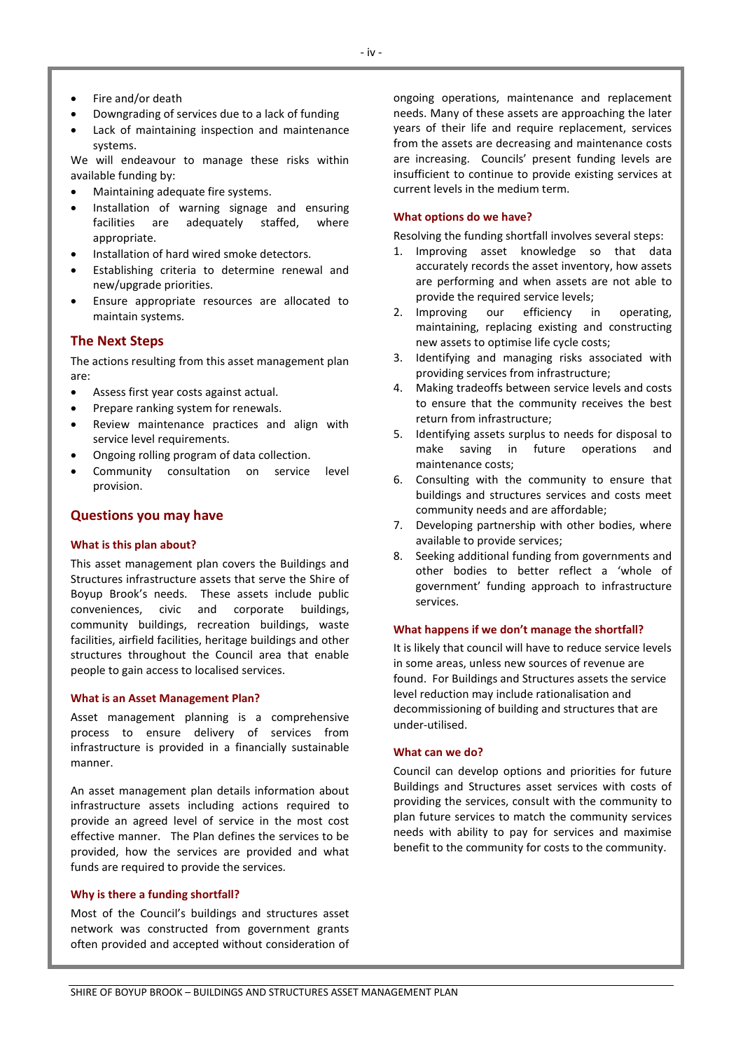- Fire and/or death
- Downgrading of services due to a lack of funding
- Lack of maintaining inspection and maintenance systems.

We will endeavour to manage these risks within available funding by:

- Maintaining adequate fire systems.
- Installation of warning signage and ensuring facilities are adequately staffed, where appropriate.
- Installation of hard wired smoke detectors.
- Establishing criteria to determine renewal and new/upgrade priorities.
- Ensure appropriate resources are allocated to maintain systems.

# **The Next Steps**

The actions resulting from this asset management plan are:

- Assess first year costs against actual.
- Prepare ranking system for renewals.
- Review maintenance practices and align with service level requirements.
- Ongoing rolling program of data collection.
- Community consultation on service level provision.

# **Questions you may have**

#### **What is this plan about?**

This asset management plan covers the Buildings and Structures infrastructure assets that serve the Shire of Boyup Brook's needs. These assets include public conveniences, civic and corporate buildings, community buildings, recreation buildings, waste facilities, airfield facilities, heritage buildings and other structures throughout the Council area that enable people to gain access to localised services.

#### **What is an Asset Management Plan?**

Asset management planning is a comprehensive process to ensure delivery of services from infrastructure is provided in a financially sustainable manner.

An asset management plan details information about infrastructure assets including actions required to provide an agreed level of service in the most cost effective manner. The Plan defines the services to be provided, how the services are provided and what funds are required to provide the services.

#### **Why is there a funding shortfall?**

Most of the Council's buildings and structures asset network was constructed from government grants often provided and accepted without consideration of

ongoing operations, maintenance and replacement needs. Many of these assets are approaching the later years of their life and require replacement, services from the assets are decreasing and maintenance costs are increasing. Councils' present funding levels are insufficient to continue to provide existing services at current levels in the medium term.

## **What options do we have?**

Resolving the funding shortfall involves several steps:

- 1. Improving asset knowledge so that data accurately records the asset inventory, how assets are performing and when assets are not able to provide the required service levels;
- 2. Improving our efficiency in operating, maintaining, replacing existing and constructing new assets to optimise life cycle costs;
- 3. Identifying and managing risks associated with providing services from infrastructure;
- 4. Making tradeoffs between service levels and costs to ensure that the community receives the best return from infrastructure;
- 5. Identifying assets surplus to needs for disposal to make saving in future operations and maintenance costs;
- 6. Consulting with the community to ensure that buildings and structures services and costs meet community needs and are affordable;
- 7. Developing partnership with other bodies, where available to provide services;
- 8. Seeking additional funding from governments and other bodies to better reflect a 'whole of government' funding approach to infrastructure services.

#### **What happens if we don't manage the shortfall?**

It is likely that council will have to reduce service levels in some areas, unless new sources of revenue are found. For Buildings and Structures assets the service level reduction may include rationalisation and decommissioning of building and structures that are under-utilised.

#### **What can we do?**

Council can develop options and priorities for future Buildings and Structures asset services with costs of providing the services, consult with the community to plan future services to match the community services needs with ability to pay for services and maximise benefit to the community for costs to the community.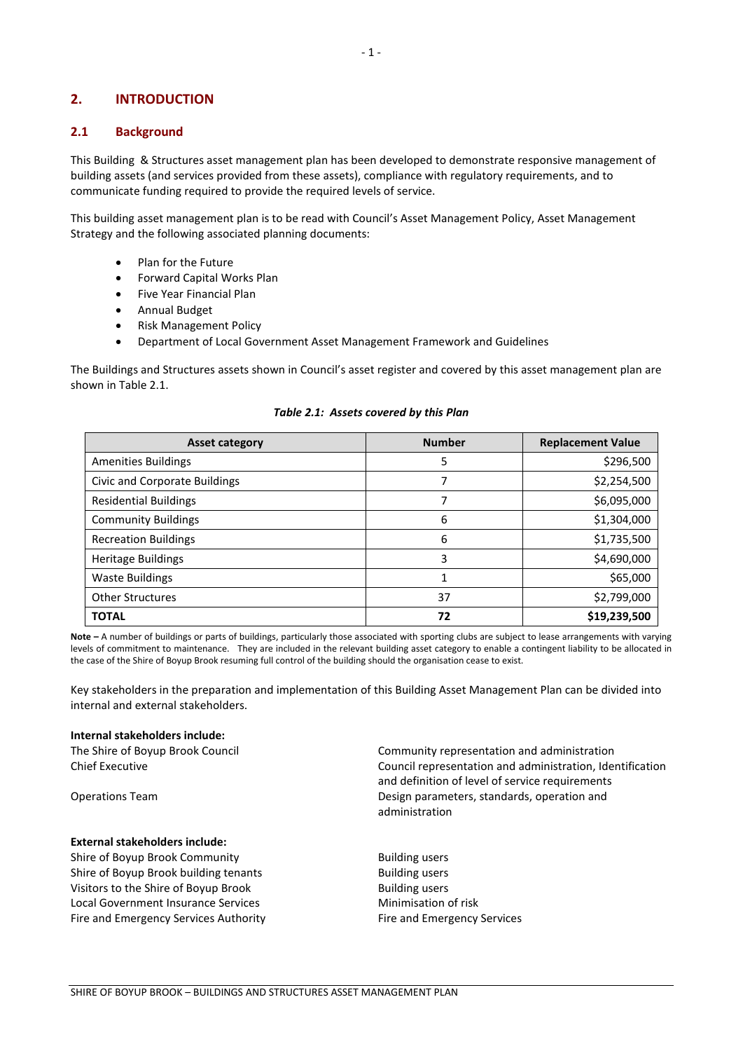# <span id="page-6-0"></span>**2. INTRODUCTION**

# <span id="page-6-1"></span>**2.1 Background**

This Building & Structures asset management plan has been developed to demonstrate responsive management of building assets (and services provided from these assets), compliance with regulatory requirements, and to communicate funding required to provide the required levels of service.

This building asset management plan is to be read with Council's Asset Management Policy, Asset Management Strategy and the following associated planning documents:

- Plan for the Future
- Forward Capital Works Plan
- Five Year Financial Plan
- Annual Budget
- Risk Management Policy
- Department of Local Government Asset Management Framework and Guidelines

The Buildings and Structures assets shown in Council's asset register and covered by this asset management plan are shown in Table 2.1.

## *Table 2.1: Assets covered by this Plan*

| <b>Asset category</b>         | <b>Number</b> | <b>Replacement Value</b> |
|-------------------------------|---------------|--------------------------|
| <b>Amenities Buildings</b>    | 5             | \$296,500                |
| Civic and Corporate Buildings |               | \$2,254,500              |
| <b>Residential Buildings</b>  |               | \$6,095,000              |
| <b>Community Buildings</b>    | 6             | \$1,304,000              |
| <b>Recreation Buildings</b>   | 6             | \$1,735,500              |
| <b>Heritage Buildings</b>     | 3             | \$4,690,000              |
| <b>Waste Buildings</b>        |               | \$65,000                 |
| <b>Other Structures</b>       | 37            | \$2,799,000              |
| <b>TOTAL</b>                  | 72            | \$19,239,500             |

**Note –** A number of buildings or parts of buildings, particularly those associated with sporting clubs are subject to lease arrangements with varying levels of commitment to maintenance. They are included in the relevant building asset category to enable a contingent liability to be allocated in the case of the Shire of Boyup Brook resuming full control of the building should the organisation cease to exist.

Key stakeholders in the preparation and implementation of this Building Asset Management Plan can be divided into internal and external stakeholders.

#### **Internal stakeholders include:**

## **External stakeholders include:**

Shire of Boyup Brook Community **Building users** Building users Shire of Boyup Brook building tenants Building users Visitors to the Shire of Boyup Brook Building users Local Government Insurance Services Minimisation of risk Fire and Emergency Services Authority Fire and Emergency Services

The Shire of Boyup Brook Council Community representation and administration Chief Executive Council representation and administration, Identification and definition of level of service requirements Operations Team Design parameters, standards, operation and administration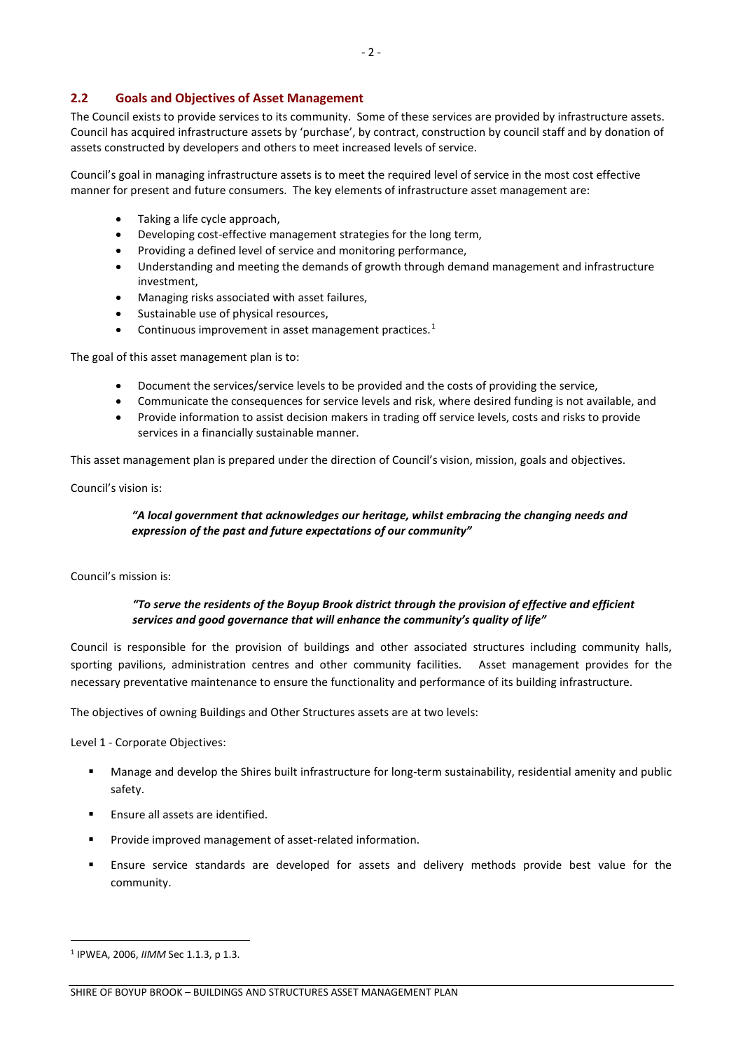# <span id="page-7-0"></span>**2.2 Goals and Objectives of Asset Management**

The Council exists to provide services to its community. Some of these services are provided by infrastructure assets. Council has acquired infrastructure assets by 'purchase', by contract, construction by council staff and by donation of assets constructed by developers and others to meet increased levels of service.

Council's goal in managing infrastructure assets is to meet the required level of service in the most cost effective manner for present and future consumers. The key elements of infrastructure asset management are:

- Taking a life cycle approach,
- Developing cost-effective management strategies for the long term,
- Providing a defined level of service and monitoring performance,
- Understanding and meeting the demands of growth through demand management and infrastructure investment,
- Managing risks associated with asset failures,
- Sustainable use of physical resources,
- Continuous improvement in asset management practices.<sup>[1](#page-7-1)</sup>

The goal of this asset management plan is to:

- Document the services/service levels to be provided and the costs of providing the service,
- Communicate the consequences for service levels and risk, where desired funding is not available, and
- Provide information to assist decision makers in trading off service levels, costs and risks to provide services in a financially sustainable manner.

This asset management plan is prepared under the direction of Council's vision, mission, goals and objectives.

Council's vision is:

# *"A local government that acknowledges our heritage, whilst embracing the changing needs and expression of the past and future expectations of our community"*

#### Council's mission is:

# *"To serve the residents of the Boyup Brook district through the provision of effective and efficient services and good governance that will enhance the community's quality of life"*

Council is responsible for the provision of buildings and other associated structures including community halls, sporting pavilions, administration centres and other community facilities. Asset management provides for the necessary preventative maintenance to ensure the functionality and performance of its building infrastructure.

The objectives of owning Buildings and Other Structures assets are at two levels:

Level 1 - Corporate Objectives:

- Manage and develop the Shires built infrastructure for long-term sustainability, residential amenity and public safety.
- **Ensure all assets are identified.**
- Provide improved management of asset-related information.
- Ensure service standards are developed for assets and delivery methods provide best value for the community.

 $\overline{a}$ 

<span id="page-7-1"></span><sup>1</sup> IPWEA, 2006, *IIMM* Sec 1.1.3, p 1.3.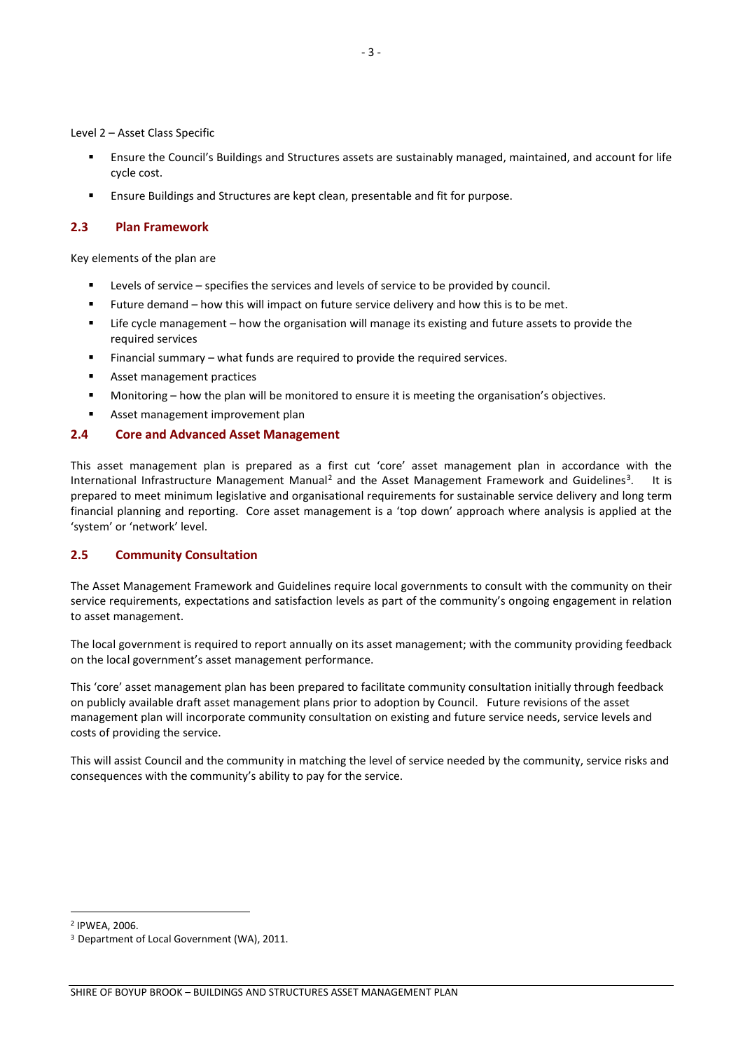Level 2 – Asset Class Specific

- Ensure the Council's Buildings and Structures assets are sustainably managed, maintained, and account for life cycle cost.
- Ensure Buildings and Structures are kept clean, presentable and fit for purpose.

# <span id="page-8-0"></span>**2.3 Plan Framework**

Key elements of the plan are

- Levels of service specifies the services and levels of service to be provided by council.
- **Future demand how this will impact on future service delivery and how this is to be met.**
- Life cycle management how the organisation will manage its existing and future assets to provide the required services
- Financial summary what funds are required to provide the required services.
- **Asset management practices**
- Monitoring how the plan will be monitored to ensure it is meeting the organisation's objectives.
- Asset management improvement plan

# <span id="page-8-1"></span>**2.4 Core and Advanced Asset Management**

This asset management plan is prepared as a first cut 'core' asset management plan in accordance with the International Infrastructure Management Manual<sup>[2](#page-8-4)</sup> and the Asset Management Framework and Guidelines<sup>[3](#page-8-5)</sup>. . It is prepared to meet minimum legislative and organisational requirements for sustainable service delivery and long term financial planning and reporting. Core asset management is a 'top down' approach where analysis is applied at the 'system' or 'network' level.

# <span id="page-8-2"></span>**2.5 Community Consultation**

The Asset Management Framework and Guidelines require local governments to consult with the community on their service requirements, expectations and satisfaction levels as part of the community's ongoing engagement in relation to asset management.

The local government is required to report annually on its asset management; with the community providing feedback on the local government's asset management performance.

This 'core' asset management plan has been prepared to facilitate community consultation initially through feedback on publicly available draft asset management plans prior to adoption by Council. Future revisions of the asset management plan will incorporate community consultation on existing and future service needs, service levels and costs of providing the service.

<span id="page-8-3"></span>This will assist Council and the community in matching the level of service needed by the community, service risks and consequences with the community's ability to pay for the service.

 $\overline{a}$ 

<span id="page-8-4"></span><sup>2</sup> IPWEA, 2006.

<span id="page-8-5"></span><sup>&</sup>lt;sup>3</sup> Department of Local Government (WA), 2011.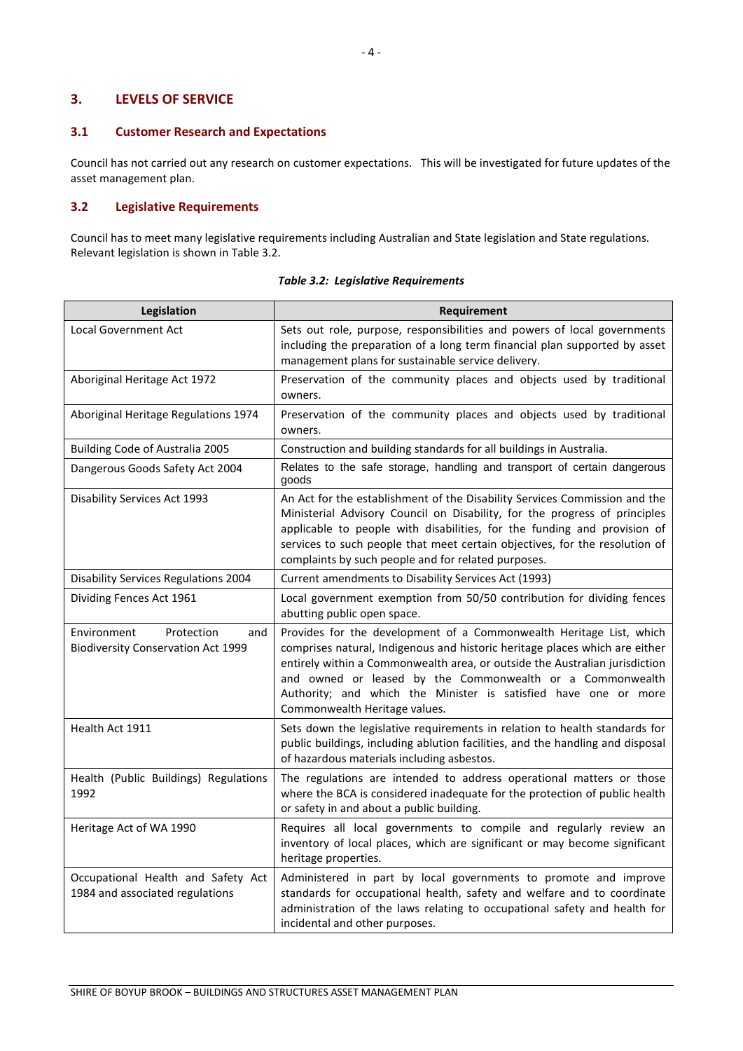# **3. LEVELS OF SERVICE**

# <span id="page-9-0"></span>**3.1 Customer Research and Expectations**

Council has not carried out any research on customer expectations. This will be investigated for future updates of the asset management plan.

# <span id="page-9-1"></span>**3.2 Legislative Requirements**

Council has to meet many legislative requirements including Australian and State legislation and State regulations. Relevant legislation is shown in Table 3.2.

<span id="page-9-2"></span>

| Legislation                                                                   | Requirement                                                                                                                                                                                                                                                                                                                                                                                        |
|-------------------------------------------------------------------------------|----------------------------------------------------------------------------------------------------------------------------------------------------------------------------------------------------------------------------------------------------------------------------------------------------------------------------------------------------------------------------------------------------|
| Local Government Act                                                          | Sets out role, purpose, responsibilities and powers of local governments<br>including the preparation of a long term financial plan supported by asset<br>management plans for sustainable service delivery.                                                                                                                                                                                       |
| Aboriginal Heritage Act 1972                                                  | Preservation of the community places and objects used by traditional<br>owners.                                                                                                                                                                                                                                                                                                                    |
| Aboriginal Heritage Regulations 1974                                          | Preservation of the community places and objects used by traditional<br>owners.                                                                                                                                                                                                                                                                                                                    |
| Building Code of Australia 2005                                               | Construction and building standards for all buildings in Australia.                                                                                                                                                                                                                                                                                                                                |
| Dangerous Goods Safety Act 2004                                               | Relates to the safe storage, handling and transport of certain dangerous<br>goods                                                                                                                                                                                                                                                                                                                  |
| Disability Services Act 1993                                                  | An Act for the establishment of the Disability Services Commission and the<br>Ministerial Advisory Council on Disability, for the progress of principles<br>applicable to people with disabilities, for the funding and provision of<br>services to such people that meet certain objectives, for the resolution of<br>complaints by such people and for related purposes.                         |
| Disability Services Regulations 2004                                          | Current amendments to Disability Services Act (1993)                                                                                                                                                                                                                                                                                                                                               |
| Dividing Fences Act 1961                                                      | Local government exemption from 50/50 contribution for dividing fences<br>abutting public open space.                                                                                                                                                                                                                                                                                              |
| Environment<br>Protection<br>and<br><b>Biodiversity Conservation Act 1999</b> | Provides for the development of a Commonwealth Heritage List, which<br>comprises natural, Indigenous and historic heritage places which are either<br>entirely within a Commonwealth area, or outside the Australian jurisdiction<br>and owned or leased by the Commonwealth or a Commonwealth<br>Authority; and which the Minister is satisfied have one or more<br>Commonwealth Heritage values. |
| Health Act 1911                                                               | Sets down the legislative requirements in relation to health standards for<br>public buildings, including ablution facilities, and the handling and disposal<br>of hazardous materials including asbestos.                                                                                                                                                                                         |
| Health (Public Buildings) Regulations<br>1992                                 | The regulations are intended to address operational matters or those<br>where the BCA is considered inadequate for the protection of public health<br>or safety in and about a public building.                                                                                                                                                                                                    |
| Heritage Act of WA 1990                                                       | Requires all local governments to compile and regularly review an<br>inventory of local places, which are significant or may become significant<br>heritage properties.                                                                                                                                                                                                                            |
| Occupational Health and Safety Act<br>1984 and associated regulations         | Administered in part by local governments to promote and improve<br>standards for occupational health, safety and welfare and to coordinate<br>administration of the laws relating to occupational safety and health for<br>incidental and other purposes.                                                                                                                                         |

*Table 3.2: Legislative Requirements*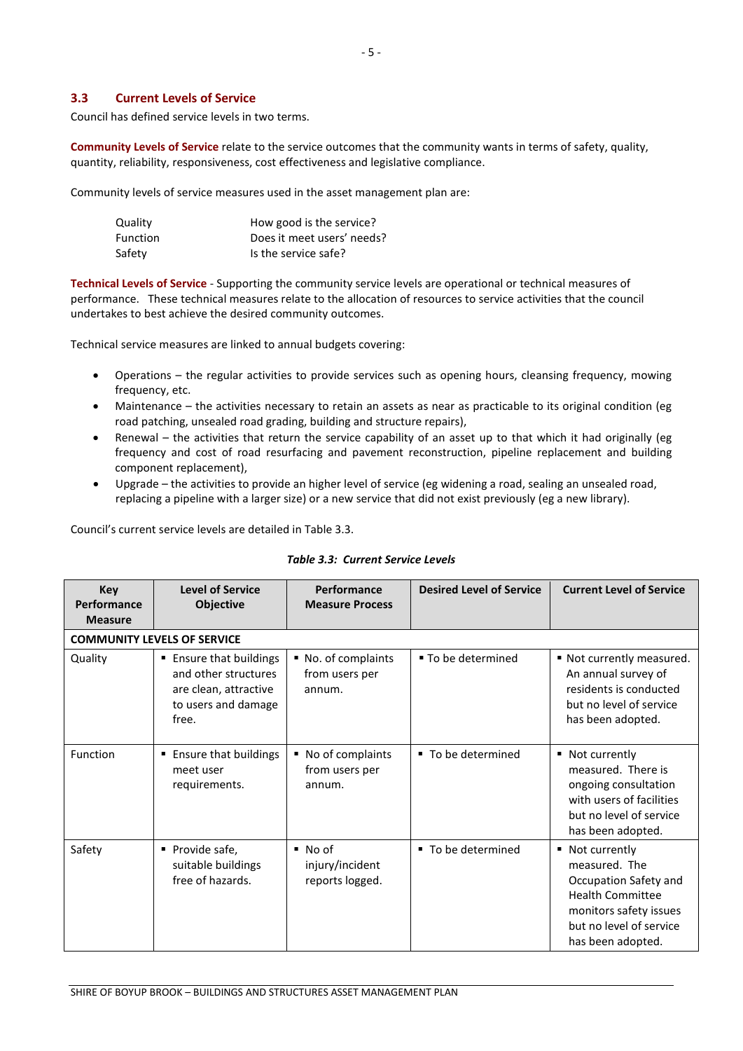# **3.3 Current Levels of Service**

Council has defined service levels in two terms.

**Community Levels of Service** relate to the service outcomes that the community wants in terms of safety, quality, quantity, reliability, responsiveness, cost effectiveness and legislative compliance.

Community levels of service measures used in the asset management plan are:

| Quality         | How good is the service?   |
|-----------------|----------------------------|
| <b>Function</b> | Does it meet users' needs? |
| Safety          | Is the service safe?       |

**Technical Levels of Service** - Supporting the community service levels are operational or technical measures of performance. These technical measures relate to the allocation of resources to service activities that the council undertakes to best achieve the desired community outcomes.

Technical service measures are linked to annual budgets covering:

- Operations the regular activities to provide services such as opening hours, cleansing frequency, mowing frequency, etc.
- Maintenance the activities necessary to retain an assets as near as practicable to its original condition (eg road patching, unsealed road grading, building and structure repairs),
- Renewal the activities that return the service capability of an asset up to that which it had originally (eg frequency and cost of road resurfacing and pavement reconstruction, pipeline replacement and building component replacement),
- Upgrade the activities to provide an higher level of service (eg widening a road, sealing an unsealed road, replacing a pipeline with a larger size) or a new service that did not exist previously (eg a new library).

Council's current service levels are detailed in Table 3.3.

| <b>Key</b><br>Performance<br><b>Measure</b> | <b>Level of Service</b><br><b>Objective</b>                                                                 | Performance<br><b>Measure Process</b>                      | <b>Desired Level of Service</b> | <b>Current Level of Service</b>                                                                                                                                |
|---------------------------------------------|-------------------------------------------------------------------------------------------------------------|------------------------------------------------------------|---------------------------------|----------------------------------------------------------------------------------------------------------------------------------------------------------------|
|                                             | <b>COMMUNITY LEVELS OF SERVICE</b>                                                                          |                                                            |                                 |                                                                                                                                                                |
| Quality                                     | Ensure that buildings<br>٠<br>and other structures<br>are clean, attractive<br>to users and damage<br>free. | No. of complaints<br>from users per<br>annum.              | ■ To be determined              | " Not currently measured.<br>An annual survey of<br>residents is conducted<br>but no level of service<br>has been adopted.                                     |
| Function                                    | ■ Ensure that buildings<br>meet user<br>requirements.                                                       | No of complaints<br>٠<br>from users per<br>annum.          | ■ To be determined              | ■ Not currently<br>measured. There is<br>ongoing consultation<br>with users of facilities<br>but no level of service<br>has been adopted.                      |
| Safety                                      | Provide safe,<br>٠<br>suitable buildings<br>free of hazards.                                                | $\blacksquare$ No of<br>injury/incident<br>reports logged. | ■ To be determined              | ■ Not currently<br>measured. The<br>Occupation Safety and<br><b>Health Committee</b><br>monitors safety issues<br>but no level of service<br>has been adopted. |

# *Table 3.3: Current Service Levels*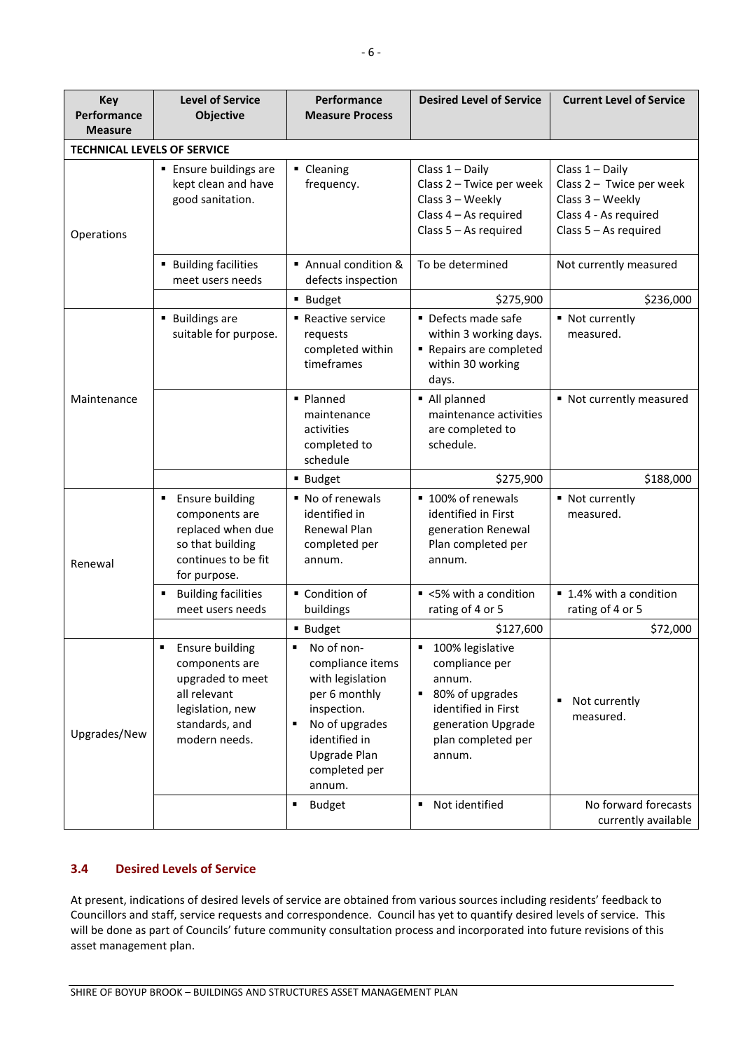| <b>Key</b><br>Performance<br><b>Measure</b> | <b>Level of Service</b><br>Objective                                                                                                | Performance<br><b>Measure Process</b>                                                                                                                            | <b>Desired Level of Service</b>                                                                                                                                | <b>Current Level of Service</b>                                                                                       |
|---------------------------------------------|-------------------------------------------------------------------------------------------------------------------------------------|------------------------------------------------------------------------------------------------------------------------------------------------------------------|----------------------------------------------------------------------------------------------------------------------------------------------------------------|-----------------------------------------------------------------------------------------------------------------------|
| <b>TECHNICAL LEVELS OF SERVICE</b>          |                                                                                                                                     |                                                                                                                                                                  |                                                                                                                                                                |                                                                                                                       |
| Operations                                  | <b>Ensure buildings are</b><br>kept clean and have<br>good sanitation.                                                              | • Cleaning<br>frequency.                                                                                                                                         | Class $1 -$ Daily<br>Class 2 - Twice per week<br>Class 3 - Weekly<br>Class 4 - As required<br>Class $5 - As required$                                          | Class $1 -$ Daily<br>Class 2 - Twice per week<br>Class 3 - Weekly<br>Class 4 - As required<br>Class $5 - As required$ |
|                                             | <b>Building facilities</b><br>meet users needs                                                                                      | ■ Annual condition &<br>defects inspection                                                                                                                       | To be determined                                                                                                                                               | Not currently measured                                                                                                |
|                                             |                                                                                                                                     | ■ Budget                                                                                                                                                         | \$275,900                                                                                                                                                      | \$236,000                                                                                                             |
|                                             | <b>Buildings are</b><br>suitable for purpose.                                                                                       | Reactive service<br>requests<br>completed within<br>timeframes                                                                                                   | • Defects made safe<br>within 3 working days.<br>Repairs are completed<br>within 30 working<br>days.                                                           | • Not currently<br>measured.                                                                                          |
| Maintenance                                 |                                                                                                                                     | · Planned<br>maintenance<br>activities<br>completed to<br>schedule                                                                                               | All planned<br>maintenance activities<br>are completed to<br>schedule.                                                                                         | • Not currently measured                                                                                              |
|                                             |                                                                                                                                     | ■ Budget                                                                                                                                                         | \$275,900                                                                                                                                                      | \$188,000                                                                                                             |
| Renewal                                     | <b>Ensure building</b><br>٠<br>components are<br>replaced when due<br>so that building<br>continues to be fit<br>for purpose.       | ■ No of renewals<br>identified in<br>Renewal Plan<br>completed per<br>annum.                                                                                     | ■ 100% of renewals<br>identified in First<br>generation Renewal<br>Plan completed per<br>annum.                                                                | • Not currently<br>measured.                                                                                          |
|                                             | <b>Building facilities</b><br>meet users needs                                                                                      | ■ Condition of<br>buildings                                                                                                                                      | ■ <5% with a condition<br>rating of 4 or 5                                                                                                                     | ■ 1.4% with a condition<br>rating of 4 or 5                                                                           |
|                                             |                                                                                                                                     | ■ Budget                                                                                                                                                         | \$127,600                                                                                                                                                      | \$72,000                                                                                                              |
| Upgrades/New                                | <b>Ensure building</b><br>components are<br>upgraded to meet<br>all relevant<br>legislation, new<br>standards, and<br>modern needs. | No of non-<br>compliance items<br>with legislation<br>per 6 monthly<br>inspection.<br>No of upgrades<br>identified in<br>Upgrade Plan<br>completed per<br>annum. | 100% legislative<br>compliance per<br>annum.<br>80% of upgrades<br>$\blacksquare$<br>identified in First<br>generation Upgrade<br>plan completed per<br>annum. | Not currently<br>measured.                                                                                            |
|                                             |                                                                                                                                     | ٠<br><b>Budget</b>                                                                                                                                               | • Not identified                                                                                                                                               | No forward forecasts<br>currently available                                                                           |

# <span id="page-11-0"></span>**3.4 Desired Levels of Service**

<span id="page-11-1"></span>At present, indications of desired levels of service are obtained from various sources including residents' feedback to Councillors and staff, service requests and correspondence. Council has yet to quantify desired levels of service. This will be done as part of Councils' future community consultation process and incorporated into future revisions of this asset management plan.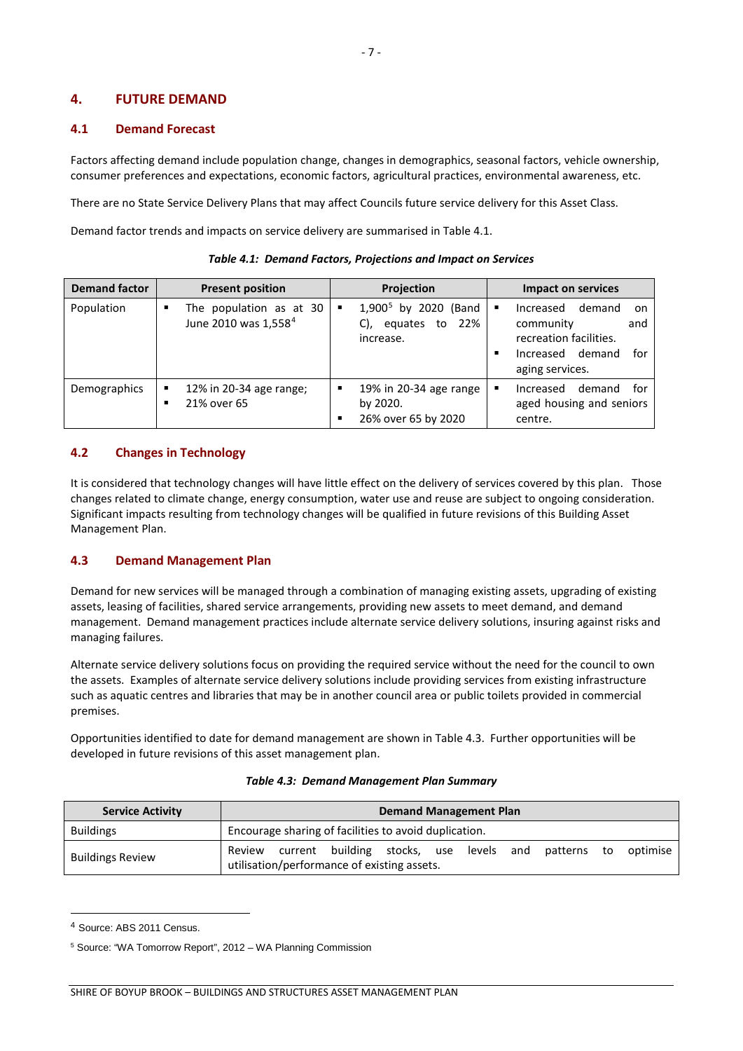# **4. FUTURE DEMAND**

# <span id="page-12-0"></span>**4.1 Demand Forecast**

Factors affecting demand include population change, changes in demographics, seasonal factors, vehicle ownership, consumer preferences and expectations, economic factors, agricultural practices, environmental awareness, etc.

There are no State Service Delivery Plans that may affect Councils future service delivery for this Asset Class.

Demand factor trends and impacts on service delivery are summarised in Table 4.1.

| <b>Demand factor</b> | <b>Present position</b>                                          | <b>Projection</b>                                                   | Impact on services                                                                                                              |
|----------------------|------------------------------------------------------------------|---------------------------------------------------------------------|---------------------------------------------------------------------------------------------------------------------------------|
| Population           | The population as at 30<br>٠<br>June 2010 was 1,558 <sup>4</sup> | $1,900^5$ by 2020<br>(Band<br>to 22%<br>equates<br>C),<br>increase. | demand<br>Increased<br>Е<br>on<br>community<br>and<br>recreation facilities.<br>Increased demand<br>for<br>п<br>aging services. |
| Demographics         | 12% in 20-34 age range;<br>٠<br>21% over 65                      | 19% in 20-34 age range<br>٠<br>by 2020.<br>26% over 65 by 2020<br>٠ | demand<br>Increased<br>for<br>п<br>aged housing and seniors<br>centre.                                                          |

# *Table 4.1: Demand Factors, Projections and Impact on Services*

# <span id="page-12-1"></span>**4.2 Changes in Technology**

It is considered that technology changes will have little effect on the delivery of services covered by this plan. Those changes related to climate change, energy consumption, water use and reuse are subject to ongoing consideration. Significant impacts resulting from technology changes will be qualified in future revisions of this Building Asset Management Plan.

# <span id="page-12-2"></span>**4.3 Demand Management Plan**

Demand for new services will be managed through a combination of managing existing assets, upgrading of existing assets, leasing of facilities, shared service arrangements, providing new assets to meet demand, and demand management. Demand management practices include alternate service delivery solutions, insuring against risks and managing failures.

Alternate service delivery solutions focus on providing the required service without the need for the council to own the assets. Examples of alternate service delivery solutions include providing services from existing infrastructure such as aquatic centres and libraries that may be in another council area or public toilets provided in commercial premises.

Opportunities identified to date for demand management are shown in Table 4.3. Further opportunities will be developed in future revisions of this asset management plan.

<span id="page-12-3"></span>

| <b>Service Activity</b> | <b>Demand Management Plan</b> |                                                       |                                                                                           |  |  |  |     |             |  |          |
|-------------------------|-------------------------------|-------------------------------------------------------|-------------------------------------------------------------------------------------------|--|--|--|-----|-------------|--|----------|
| <b>Buildings</b>        |                               | Encourage sharing of facilities to avoid duplication. |                                                                                           |  |  |  |     |             |  |          |
| <b>Buildings Review</b> |                               |                                                       | Review current building stocks, use levels<br>utilisation/performance of existing assets. |  |  |  | and | patterns to |  | optimise |

<sup>4</sup> Source: ABS 2011 Census.

 $\overline{a}$ 

<span id="page-12-5"></span><span id="page-12-4"></span><sup>5</sup> Source: "WA Tomorrow Report", 2012 – WA Planning Commission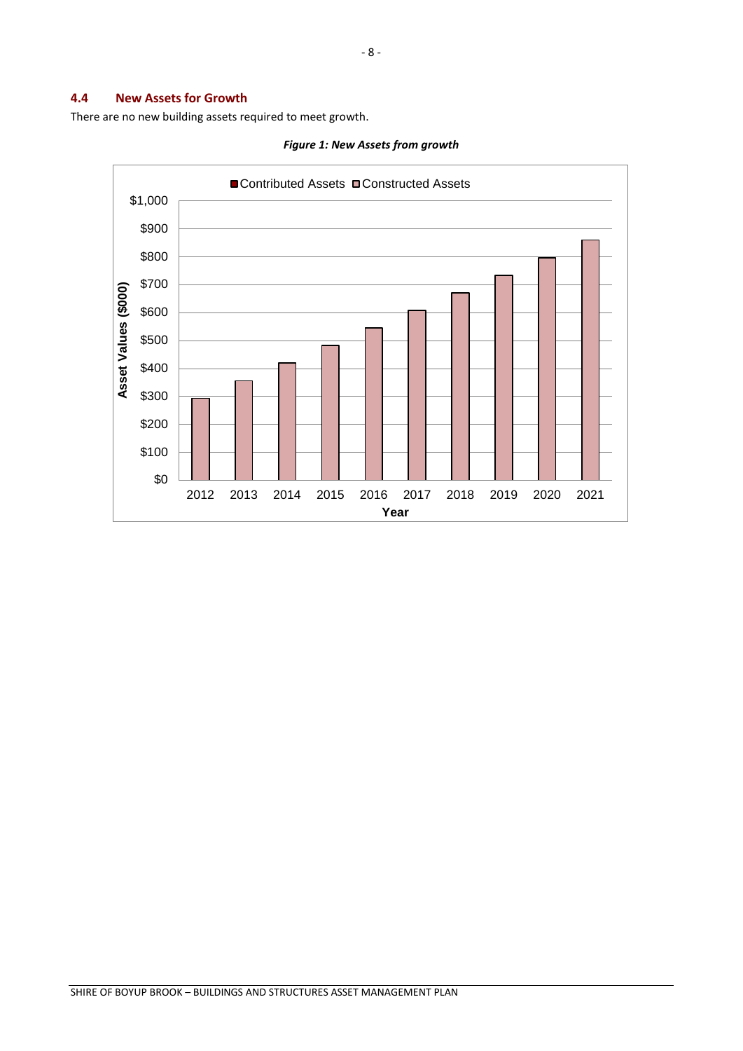# **4.4 New Assets for Growth**

There are no new building assets required to meet growth.



*Figure 1: New Assets from growth*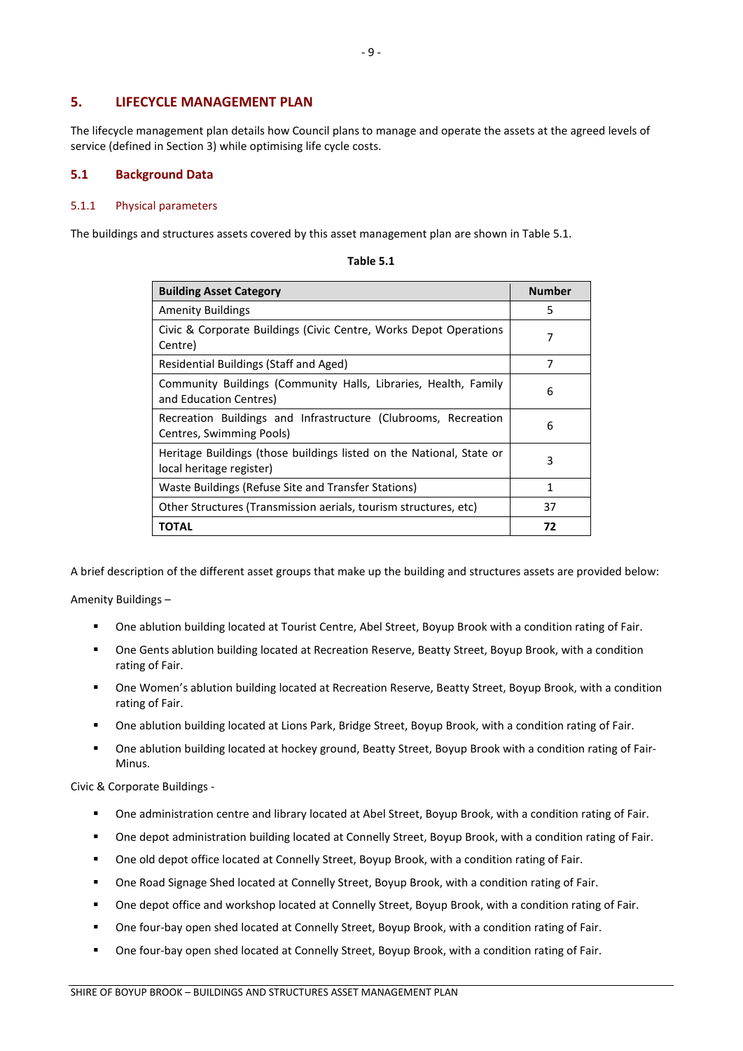# <span id="page-14-0"></span>**5. LIFECYCLE MANAGEMENT PLAN**

The lifecycle management plan details how Council plans to manage and operate the assets at the agreed levels of service (defined in Section 3) while optimising life cycle costs.

# <span id="page-14-1"></span>**5.1 Background Data**

## 5.1.1 Physical parameters

The buildings and structures assets covered by this asset management plan are shown in Table 5.1.

| <b>Building Asset Category</b>                                                                   | <b>Number</b> |
|--------------------------------------------------------------------------------------------------|---------------|
| <b>Amenity Buildings</b>                                                                         | 5             |
| Civic & Corporate Buildings (Civic Centre, Works Depot Operations<br>Centre)                     | 7             |
| Residential Buildings (Staff and Aged)                                                           | 7             |
| Community Buildings (Community Halls, Libraries, Health, Family<br>and Education Centres)        | 6             |
| Recreation Buildings and Infrastructure (Clubrooms, Recreation<br>Centres, Swimming Pools)       | 6             |
| Heritage Buildings (those buildings listed on the National, State or<br>local heritage register) | 3             |
| Waste Buildings (Refuse Site and Transfer Stations)                                              | 1             |
| Other Structures (Transmission aerials, tourism structures, etc)                                 | 37            |
| ΤΟΤΑL                                                                                            | 72            |

## **Table 5.1**

A brief description of the different asset groups that make up the building and structures assets are provided below:

Amenity Buildings –

- One ablution building located at Tourist Centre, Abel Street, Boyup Brook with a condition rating of Fair.
- One Gents ablution building located at Recreation Reserve, Beatty Street, Boyup Brook, with a condition rating of Fair.
- One Women's ablution building located at Recreation Reserve, Beatty Street, Boyup Brook, with a condition rating of Fair.
- One ablution building located at Lions Park, Bridge Street, Boyup Brook, with a condition rating of Fair.
- One ablution building located at hockey ground, Beatty Street, Boyup Brook with a condition rating of Fair-Minus.

## Civic & Corporate Buildings -

- One administration centre and library located at Abel Street, Boyup Brook, with a condition rating of Fair.
- One depot administration building located at Connelly Street, Boyup Brook, with a condition rating of Fair.
- One old depot office located at Connelly Street, Boyup Brook, with a condition rating of Fair.
- One Road Signage Shed located at Connelly Street, Boyup Brook, with a condition rating of Fair.
- One depot office and workshop located at Connelly Street, Boyup Brook, with a condition rating of Fair.
- One four-bay open shed located at Connelly Street, Boyup Brook, with a condition rating of Fair.
- One four-bay open shed located at Connelly Street, Boyup Brook, with a condition rating of Fair.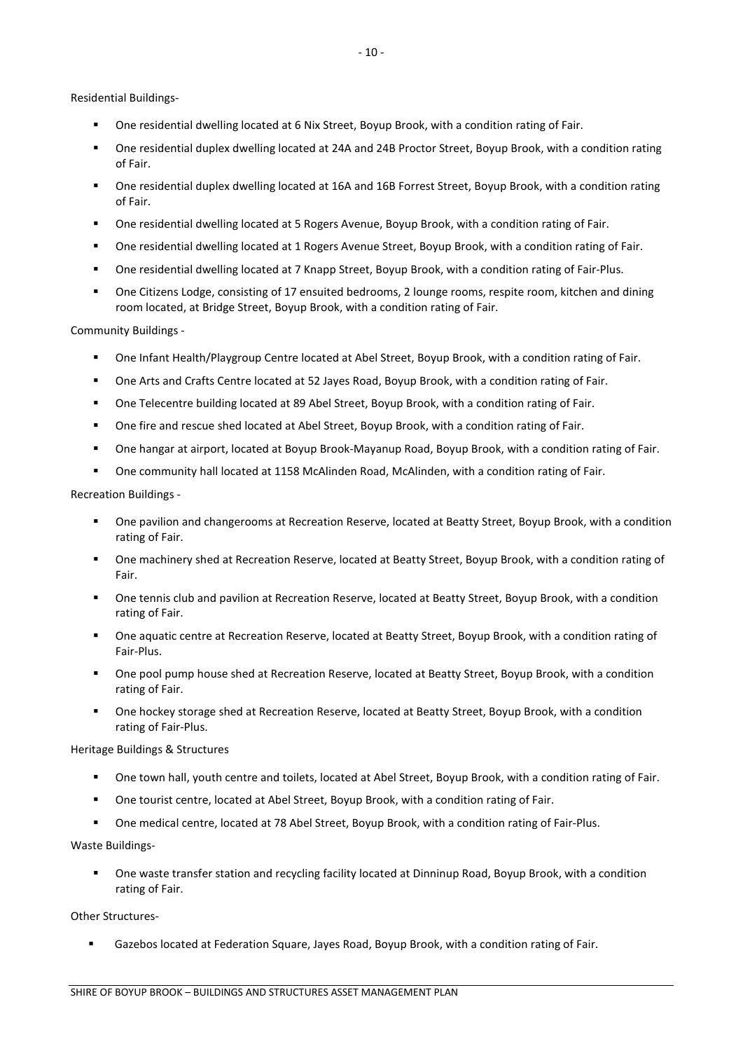Residential Buildings-

- One residential dwelling located at 6 Nix Street, Boyup Brook, with a condition rating of Fair.
- One residential duplex dwelling located at 24A and 24B Proctor Street, Boyup Brook, with a condition rating of Fair.
- One residential duplex dwelling located at 16A and 16B Forrest Street, Boyup Brook, with a condition rating of Fair.
- One residential dwelling located at 5 Rogers Avenue, Boyup Brook, with a condition rating of Fair.
- One residential dwelling located at 1 Rogers Avenue Street, Boyup Brook, with a condition rating of Fair.
- One residential dwelling located at 7 Knapp Street, Boyup Brook, with a condition rating of Fair-Plus.
- One Citizens Lodge, consisting of 17 ensuited bedrooms, 2 lounge rooms, respite room, kitchen and dining room located, at Bridge Street, Boyup Brook, with a condition rating of Fair.

Community Buildings -

- One Infant Health/Playgroup Centre located at Abel Street, Boyup Brook, with a condition rating of Fair.
- One Arts and Crafts Centre located at 52 Jayes Road, Boyup Brook, with a condition rating of Fair.
- One Telecentre building located at 89 Abel Street, Boyup Brook, with a condition rating of Fair.
- One fire and rescue shed located at Abel Street, Boyup Brook, with a condition rating of Fair.
- One hangar at airport, located at Boyup Brook-Mayanup Road, Boyup Brook, with a condition rating of Fair.
- One community hall located at 1158 McAlinden Road, McAlinden, with a condition rating of Fair.

Recreation Buildings -

- One pavilion and changerooms at Recreation Reserve, located at Beatty Street, Boyup Brook, with a condition rating of Fair.
- One machinery shed at Recreation Reserve, located at Beatty Street, Boyup Brook, with a condition rating of Fair.
- One tennis club and pavilion at Recreation Reserve, located at Beatty Street, Boyup Brook, with a condition rating of Fair.
- One aquatic centre at Recreation Reserve, located at Beatty Street, Boyup Brook, with a condition rating of Fair-Plus.
- One pool pump house shed at Recreation Reserve, located at Beatty Street, Boyup Brook, with a condition rating of Fair.
- One hockey storage shed at Recreation Reserve, located at Beatty Street, Boyup Brook, with a condition rating of Fair-Plus.

Heritage Buildings & Structures

- One town hall, youth centre and toilets, located at Abel Street, Boyup Brook, with a condition rating of Fair.
- One tourist centre, located at Abel Street, Boyup Brook, with a condition rating of Fair.
- One medical centre, located at 78 Abel Street, Boyup Brook, with a condition rating of Fair-Plus.

Waste Buildings-

 One waste transfer station and recycling facility located at Dinninup Road, Boyup Brook, with a condition rating of Fair.

Other Structures-

Gazebos located at Federation Square, Jayes Road, Boyup Brook, with a condition rating of Fair.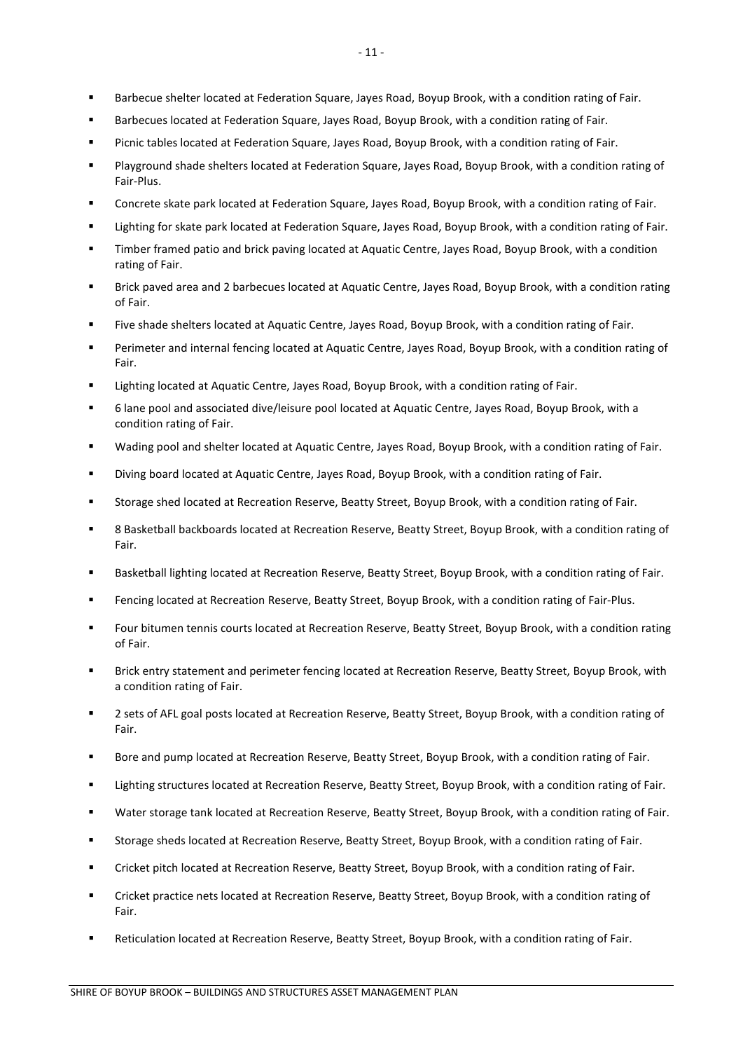- Barbecue shelter located at Federation Square, Jayes Road, Boyup Brook, with a condition rating of Fair.
- Barbecues located at Federation Square, Jayes Road, Boyup Brook, with a condition rating of Fair.
- Picnic tables located at Federation Square, Jayes Road, Boyup Brook, with a condition rating of Fair.
- Playground shade shelters located at Federation Square, Jayes Road, Boyup Brook, with a condition rating of Fair-Plus.
- Concrete skate park located at Federation Square, Jayes Road, Boyup Brook, with a condition rating of Fair.
- Lighting for skate park located at Federation Square, Jayes Road, Boyup Brook, with a condition rating of Fair.
- Timber framed patio and brick paving located at Aquatic Centre, Jayes Road, Boyup Brook, with a condition rating of Fair.
- Brick paved area and 2 barbecues located at Aquatic Centre, Jayes Road, Boyup Brook, with a condition rating of Fair.
- Five shade shelters located at Aquatic Centre, Jayes Road, Boyup Brook, with a condition rating of Fair.
- Perimeter and internal fencing located at Aquatic Centre, Jayes Road, Boyup Brook, with a condition rating of Fair.
- Lighting located at Aquatic Centre, Jayes Road, Boyup Brook, with a condition rating of Fair.
- 6 lane pool and associated dive/leisure pool located at Aquatic Centre, Jayes Road, Boyup Brook, with a condition rating of Fair.
- Wading pool and shelter located at Aquatic Centre, Jayes Road, Boyup Brook, with a condition rating of Fair.
- Diving board located at Aquatic Centre, Jayes Road, Boyup Brook, with a condition rating of Fair.
- Storage shed located at Recreation Reserve, Beatty Street, Boyup Brook, with a condition rating of Fair.
- 8 Basketball backboards located at Recreation Reserve, Beatty Street, Boyup Brook, with a condition rating of Fair.
- Basketball lighting located at Recreation Reserve, Beatty Street, Boyup Brook, with a condition rating of Fair.
- Fencing located at Recreation Reserve, Beatty Street, Boyup Brook, with a condition rating of Fair-Plus.
- Four bitumen tennis courts located at Recreation Reserve, Beatty Street, Boyup Brook, with a condition rating of Fair.
- Brick entry statement and perimeter fencing located at Recreation Reserve, Beatty Street, Boyup Brook, with a condition rating of Fair.
- 2 sets of AFL goal posts located at Recreation Reserve, Beatty Street, Boyup Brook, with a condition rating of Fair.
- Bore and pump located at Recreation Reserve, Beatty Street, Boyup Brook, with a condition rating of Fair.
- Lighting structures located at Recreation Reserve, Beatty Street, Boyup Brook, with a condition rating of Fair.
- Water storage tank located at Recreation Reserve, Beatty Street, Boyup Brook, with a condition rating of Fair.
- Storage sheds located at Recreation Reserve, Beatty Street, Boyup Brook, with a condition rating of Fair.
- Cricket pitch located at Recreation Reserve, Beatty Street, Boyup Brook, with a condition rating of Fair.
- Cricket practice nets located at Recreation Reserve, Beatty Street, Boyup Brook, with a condition rating of Fair.
- Reticulation located at Recreation Reserve, Beatty Street, Boyup Brook, with a condition rating of Fair.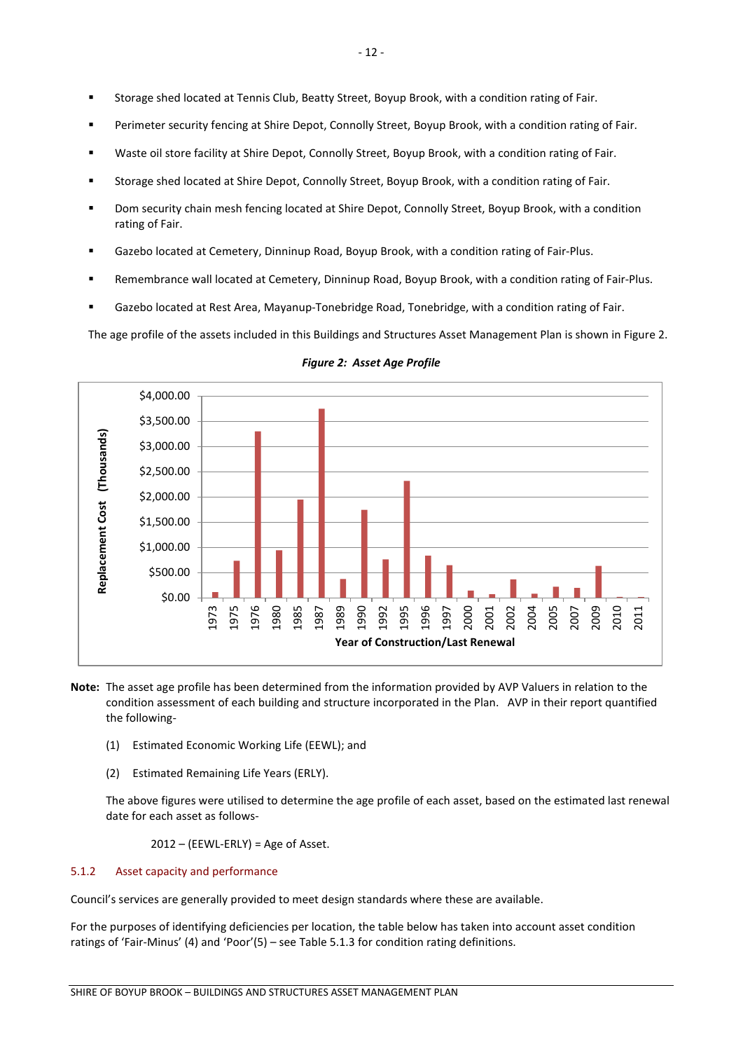- Storage shed located at Tennis Club, Beatty Street, Boyup Brook, with a condition rating of Fair.
- Perimeter security fencing at Shire Depot, Connolly Street, Boyup Brook, with a condition rating of Fair.
- Waste oil store facility at Shire Depot, Connolly Street, Boyup Brook, with a condition rating of Fair.
- Storage shed located at Shire Depot, Connolly Street, Boyup Brook, with a condition rating of Fair.
- Dom security chain mesh fencing located at Shire Depot, Connolly Street, Boyup Brook, with a condition rating of Fair.
- Gazebo located at Cemetery, Dinninup Road, Boyup Brook, with a condition rating of Fair-Plus.
- Remembrance wall located at Cemetery, Dinninup Road, Boyup Brook, with a condition rating of Fair-Plus.
- Gazebo located at Rest Area, Mayanup-Tonebridge Road, Tonebridge, with a condition rating of Fair.

The age profile of the assets included in this Buildings and Structures Asset Management Plan is shown in Figure 2.



#### *Figure 2: Asset Age Profile*

- **Note:** The asset age profile has been determined from the information provided by AVP Valuers in relation to the condition assessment of each building and structure incorporated in the Plan. AVP in their report quantified the following-
	- (1) Estimated Economic Working Life (EEWL); and
	- (2) Estimated Remaining Life Years (ERLY).

The above figures were utilised to determine the age profile of each asset, based on the estimated last renewal date for each asset as follows-

 $2012 - (EEWL-ERLY) = Age of Asset.$ 

#### 5.1.2 Asset capacity and performance

Council's services are generally provided to meet design standards where these are available.

For the purposes of identifying deficiencies per location, the table below has taken into account asset condition ratings of 'Fair-Minus' (4) and 'Poor'(5) – see Table 5.1.3 for condition rating definitions.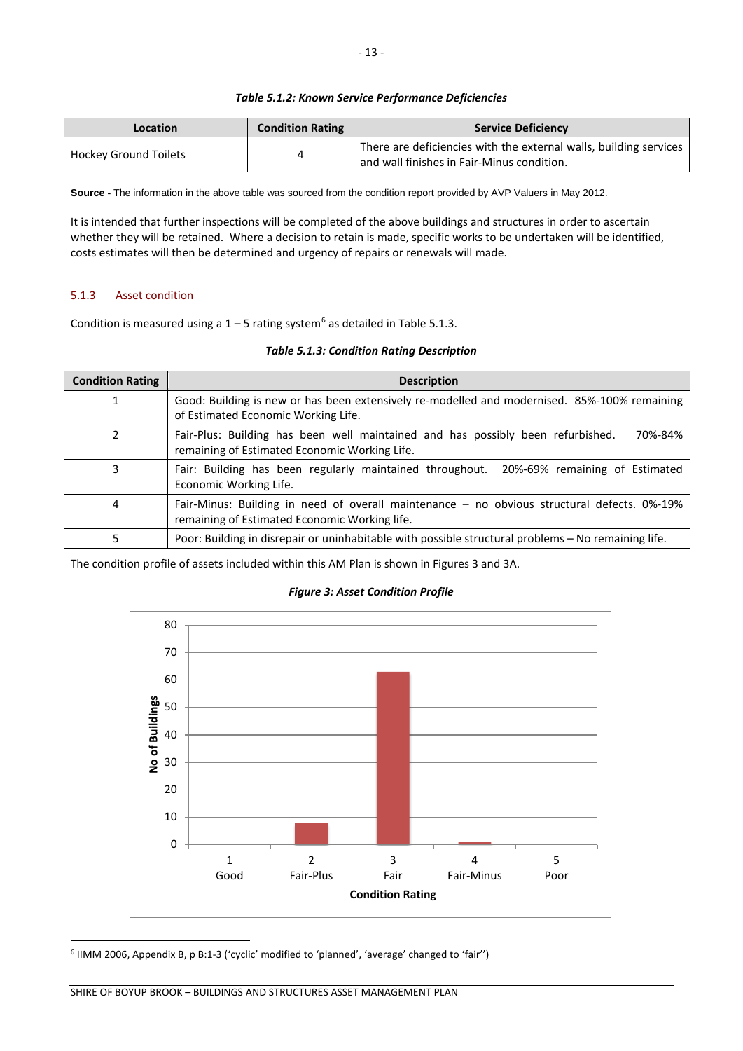# *Table 5.1.2: Known Service Performance Deficiencies*

| Location                     | <b>Condition Rating</b> | <b>Service Deficiency</b>                                                                                       |
|------------------------------|-------------------------|-----------------------------------------------------------------------------------------------------------------|
| <b>Hockey Ground Toilets</b> |                         | There are deficiencies with the external walls, building services<br>and wall finishes in Fair-Minus condition. |

**Source -** The information in the above table was sourced from the condition report provided by AVP Valuers in May 2012.

It is intended that further inspections will be completed of the above buildings and structures in order to ascertain whether they will be retained. Where a decision to retain is made, specific works to be undertaken will be identified, costs estimates will then be determined and urgency of repairs or renewals will made.

# 5.1.3 Asset condition

 $\overline{a}$ 

Condition is measured using a  $1 - 5$  rating system<sup>[6](#page-18-0)</sup> as detailed in Table 5.1.3.

## *Table 5.1.3: Condition Rating Description*

| <b>Condition Rating</b> | <b>Description</b>                                                                                                                           |
|-------------------------|----------------------------------------------------------------------------------------------------------------------------------------------|
|                         | Good: Building is new or has been extensively re-modelled and modernised. 85%-100% remaining<br>of Estimated Economic Working Life.          |
|                         | Fair-Plus: Building has been well maintained and has possibly been refurbished.<br>70%-84%<br>remaining of Estimated Economic Working Life.  |
| 3                       | Fair: Building has been regularly maintained throughout. 20%-69% remaining of Estimated<br>Economic Working Life.                            |
| 4                       | Fair-Minus: Building in need of overall maintenance – no obvious structural defects. 0%-19%<br>remaining of Estimated Economic Working life. |
|                         | Poor: Building in disrepair or uninhabitable with possible structural problems – No remaining life.                                          |

The condition profile of assets included within this AM Plan is shown in Figures 3 and 3A.

# 80 70 60 **Vo of Buildings No of Buildings** 50 40 30 20 10  $\Omega$ 3 1 2 5 4 Good Fair-Plus Fair Fair-Minus Poor **Condition Rating**

# *Figure 3: Asset Condition Profile*

<span id="page-18-0"></span><sup>6</sup> IIMM 2006, Appendix B, p B:1-3 ('cyclic' modified to 'planned', 'average' changed to 'fair'')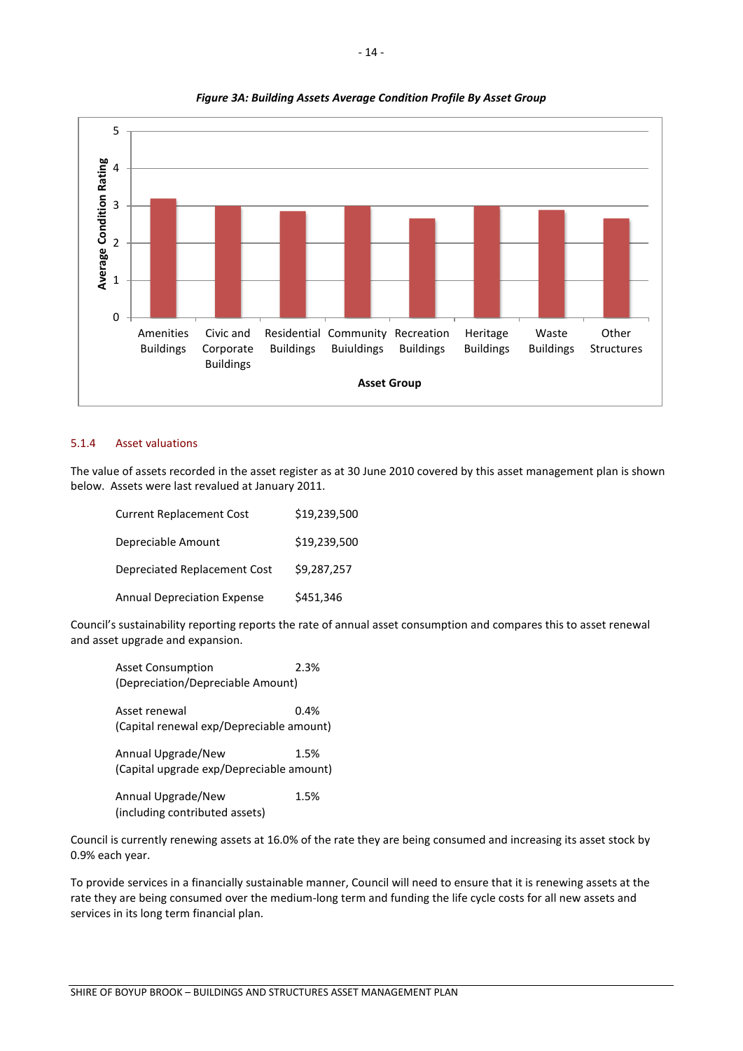

## *Figure 3A: Building Assets Average Condition Profile By Asset Group*

# 5.1.4 Asset valuations

The value of assets recorded in the asset register as at 30 June 2010 covered by this asset management plan is shown below. Assets were last revalued at January 2011.

| <b>Current Replacement Cost</b>    | \$19,239,500 |
|------------------------------------|--------------|
| Depreciable Amount                 | \$19,239,500 |
| Depreciated Replacement Cost       | \$9,287,257  |
| <b>Annual Depreciation Expense</b> | \$451,346    |

Council's sustainability reporting reports the rate of annual asset consumption and compares this to asset renewal and asset upgrade and expansion.

| <b>Asset Consumption</b><br>(Depreciation/Depreciable Amount)  | 2.3% |  |
|----------------------------------------------------------------|------|--|
| Asset renewal<br>(Capital renewal exp/Depreciable amount)      | 0.4% |  |
| Annual Upgrade/New<br>(Capital upgrade exp/Depreciable amount) | 1.5% |  |
| Annual Upgrade/New<br>(including contributed assets)           | 1.5% |  |
| is currently renewing assets at 16.0% of the $\overline{ }$    |      |  |

Council is currently renewing assets at 16.0% of the rate they are being consumed and increasing its asset stock by 0.9% each year.

To provide services in a financially sustainable manner, Council will need to ensure that it is renewing assets at the rate they are being consumed over the medium-long term and funding the life cycle costs for all new assets and services in its long term financial plan.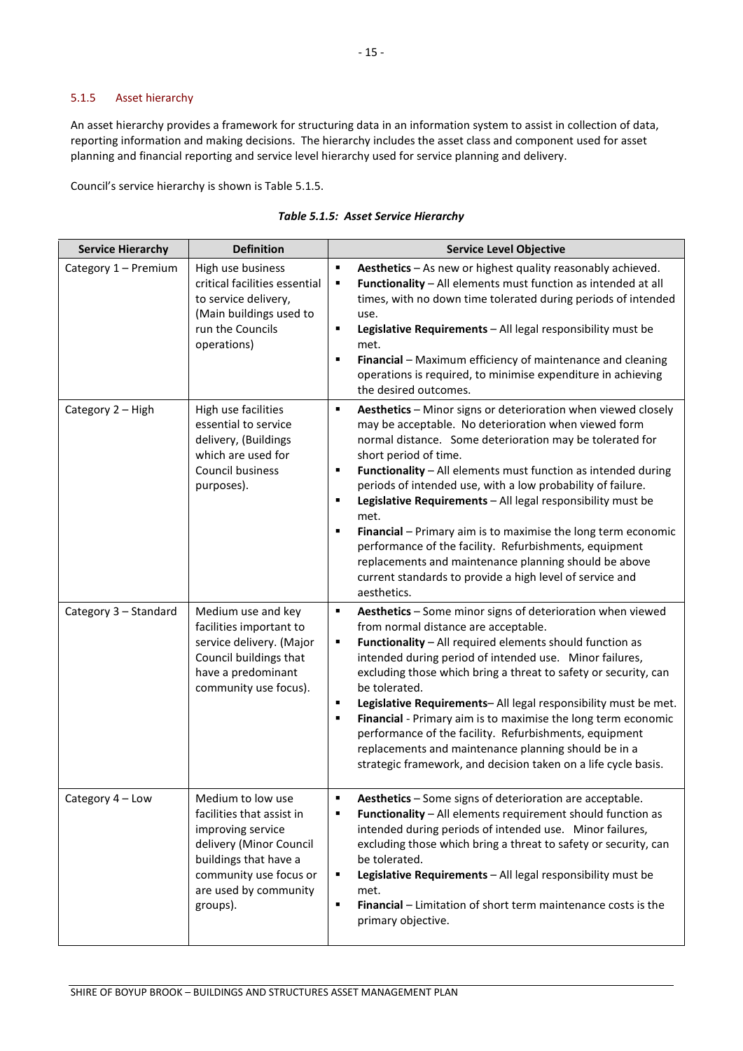# 5.1.5 Asset hierarchy

An asset hierarchy provides a framework for structuring data in an information system to assist in collection of data, reporting information and making decisions. The hierarchy includes the asset class and component used for asset planning and financial reporting and service level hierarchy used for service planning and delivery.

Council's service hierarchy is shown is Table 5.1.5.

| <b>Service Hierarchy</b> | <b>Definition</b>                                                                                                                                                                      | <b>Service Level Objective</b>                                                                                                                                                                                                                                                                                                                                                                                                                                                                                                                                                                                                                                                                                    |
|--------------------------|----------------------------------------------------------------------------------------------------------------------------------------------------------------------------------------|-------------------------------------------------------------------------------------------------------------------------------------------------------------------------------------------------------------------------------------------------------------------------------------------------------------------------------------------------------------------------------------------------------------------------------------------------------------------------------------------------------------------------------------------------------------------------------------------------------------------------------------------------------------------------------------------------------------------|
| Category 1 - Premium     | High use business<br>critical facilities essential<br>to service delivery,<br>(Main buildings used to<br>run the Councils<br>operations)                                               | Aesthetics - As new or highest quality reasonably achieved.<br>٠<br>Functionality - All elements must function as intended at all<br>٠<br>times, with no down time tolerated during periods of intended<br>use.<br>Legislative Requirements - All legal responsibility must be<br>٠<br>met.<br>Financial - Maximum efficiency of maintenance and cleaning<br>$\blacksquare$<br>operations is required, to minimise expenditure in achieving<br>the desired outcomes.                                                                                                                                                                                                                                              |
| Category 2 - High        | High use facilities<br>essential to service<br>delivery, (Buildings<br>which are used for<br>Council business<br>purposes).                                                            | Aesthetics - Minor signs or deterioration when viewed closely<br>٠<br>may be acceptable. No deterioration when viewed form<br>normal distance. Some deterioration may be tolerated for<br>short period of time.<br>Functionality - All elements must function as intended during<br>٠<br>periods of intended use, with a low probability of failure.<br>٠<br>Legislative Requirements - All legal responsibility must be<br>met.<br>Financial - Primary aim is to maximise the long term economic<br>$\blacksquare$<br>performance of the facility. Refurbishments, equipment<br>replacements and maintenance planning should be above<br>current standards to provide a high level of service and<br>aesthetics. |
| Category 3 - Standard    | Medium use and key<br>facilities important to<br>service delivery. (Major<br>Council buildings that<br>have a predominant<br>community use focus).                                     | ٠<br>Aesthetics - Some minor signs of deterioration when viewed<br>from normal distance are acceptable.<br>Functionality - All required elements should function as<br>٠<br>intended during period of intended use. Minor failures,<br>excluding those which bring a threat to safety or security, can<br>be tolerated.<br>Legislative Requirements- All legal responsibility must be met.<br>٠<br>Financial - Primary aim is to maximise the long term economic<br>$\blacksquare$<br>performance of the facility. Refurbishments, equipment<br>replacements and maintenance planning should be in a<br>strategic framework, and decision taken on a life cycle basis.                                            |
| Category 4 - Low         | Medium to low use<br>facilities that assist in<br>improving service<br>delivery (Minor Council<br>buildings that have a<br>community use focus or<br>are used by community<br>groups). | Aesthetics - Some signs of deterioration are acceptable.<br>٠<br>Functionality - All elements requirement should function as<br>٠<br>intended during periods of intended use. Minor failures,<br>excluding those which bring a threat to safety or security, can<br>be tolerated.<br>Legislative Requirements - All legal responsibility must be<br>٠<br>met.<br>Financial - Limitation of short term maintenance costs is the<br>٠<br>primary objective.                                                                                                                                                                                                                                                         |

*Table 5.1.5: Asset Service Hierarchy*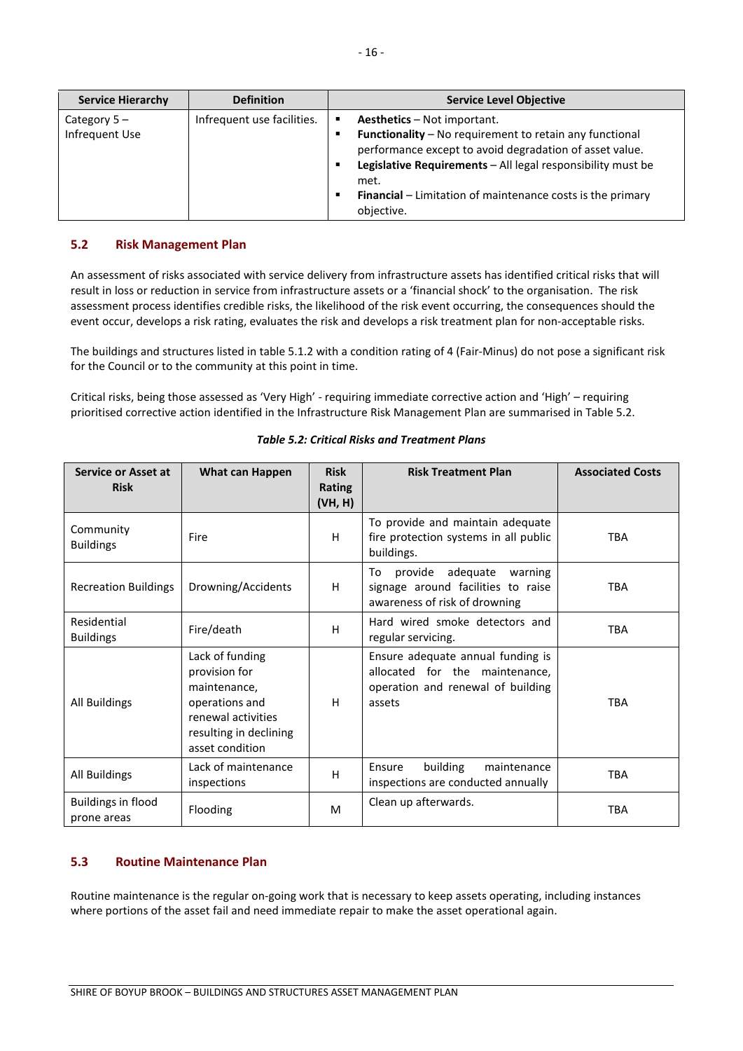| <b>Service Hierarchy</b>         | <b>Definition</b>          | <b>Service Level Objective</b>                                                                                                                                                                                                                                                                                             |
|----------------------------------|----------------------------|----------------------------------------------------------------------------------------------------------------------------------------------------------------------------------------------------------------------------------------------------------------------------------------------------------------------------|
| Category $5 -$<br>Infrequent Use | Infrequent use facilities. | <b>Aesthetics</b> – Not important.<br>٠<br>Functionality - No requirement to retain any functional<br>performance except to avoid degradation of asset value.<br>Legislative Requirements - All legal responsibility must be<br>٠<br>met.<br>Financial - Limitation of maintenance costs is the primary<br>п<br>objective. |

# <span id="page-21-0"></span>**5.2 Risk Management Plan**

An assessment of risks associated with service delivery from infrastructure assets has identified critical risks that will result in loss or reduction in service from infrastructure assets or a 'financial shock' to the organisation. The risk assessment process identifies credible risks, the likelihood of the risk event occurring, the consequences should the event occur, develops a risk rating, evaluates the risk and develops a risk treatment plan for non-acceptable risks.

The buildings and structures listed in table 5.1.2 with a condition rating of 4 (Fair-Minus) do not pose a significant risk for the Council or to the community at this point in time.

Critical risks, being those assessed as 'Very High' - requiring immediate corrective action and 'High' – requiring prioritised corrective action identified in the Infrastructure Risk Management Plan are summarised in Table 5.2.

| Service or Asset at<br><b>Risk</b>       | What can Happen                                                                                                                       | <b>Risk</b><br><b>Rating</b><br>(VH, H) | <b>Risk Treatment Plan</b>                                                                                         | <b>Associated Costs</b> |
|------------------------------------------|---------------------------------------------------------------------------------------------------------------------------------------|-----------------------------------------|--------------------------------------------------------------------------------------------------------------------|-------------------------|
| Community<br><b>Buildings</b>            | Fire                                                                                                                                  | H                                       | To provide and maintain adequate<br>fire protection systems in all public<br>buildings.                            | TBA                     |
| <b>Recreation Buildings</b>              | Drowning/Accidents                                                                                                                    | Н                                       | provide<br>adequate<br>To<br>warning<br>signage around facilities to raise<br>awareness of risk of drowning        | <b>TBA</b>              |
| Residential<br><b>Buildings</b>          | Fire/death                                                                                                                            | H                                       | Hard wired smoke detectors and<br>regular servicing.                                                               | <b>TBA</b>              |
| All Buildings                            | Lack of funding<br>provision for<br>maintenance,<br>operations and<br>renewal activities<br>resulting in declining<br>asset condition | н                                       | Ensure adequate annual funding is<br>allocated for the maintenance,<br>operation and renewal of building<br>assets | <b>TBA</b>              |
| All Buildings                            | Lack of maintenance<br>inspections                                                                                                    | H                                       | building<br>Ensure<br>maintenance<br>inspections are conducted annually                                            | <b>TBA</b>              |
| <b>Buildings in flood</b><br>prone areas | Flooding                                                                                                                              | M                                       | Clean up afterwards.                                                                                               | <b>TBA</b>              |

# *Table 5.2: Critical Risks and Treatment Plans*

# <span id="page-21-1"></span>**5.3 Routine Maintenance Plan**

Routine maintenance is the regular on-going work that is necessary to keep assets operating, including instances where portions of the asset fail and need immediate repair to make the asset operational again.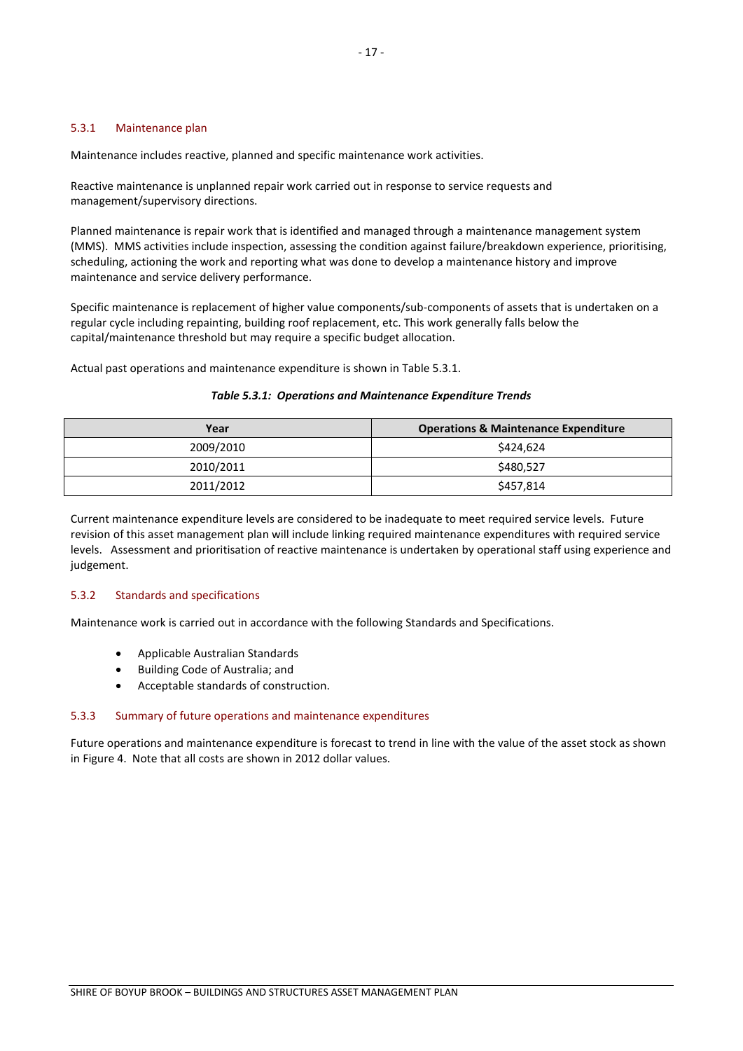#### 5.3.1 Maintenance plan

Maintenance includes reactive, planned and specific maintenance work activities.

Reactive maintenance is unplanned repair work carried out in response to service requests and management/supervisory directions.

Planned maintenance is repair work that is identified and managed through a maintenance management system (MMS). MMS activities include inspection, assessing the condition against failure/breakdown experience, prioritising, scheduling, actioning the work and reporting what was done to develop a maintenance history and improve maintenance and service delivery performance.

Specific maintenance is replacement of higher value components/sub-components of assets that is undertaken on a regular cycle including repainting, building roof replacement, etc. This work generally falls below the capital/maintenance threshold but may require a specific budget allocation.

Actual past operations and maintenance expenditure is shown in Table 5.3.1.

#### *Table 5.3.1: Operations and Maintenance Expenditure Trends*

| Year      | <b>Operations &amp; Maintenance Expenditure</b> |
|-----------|-------------------------------------------------|
| 2009/2010 | \$424.624                                       |
| 2010/2011 | \$480.527                                       |
| 2011/2012 | \$457,814                                       |

Current maintenance expenditure levels are considered to be inadequate to meet required service levels. Future revision of this asset management plan will include linking required maintenance expenditures with required service levels. Assessment and prioritisation of reactive maintenance is undertaken by operational staff using experience and judgement.

# 5.3.2 Standards and specifications

Maintenance work is carried out in accordance with the following Standards and Specifications.

- Applicable Australian Standards
- Building Code of Australia; and
- Acceptable standards of construction.

#### 5.3.3 Summary of future operations and maintenance expenditures

Future operations and maintenance expenditure is forecast to trend in line with the value of the asset stock as shown in Figure 4. Note that all costs are shown in 2012 dollar values.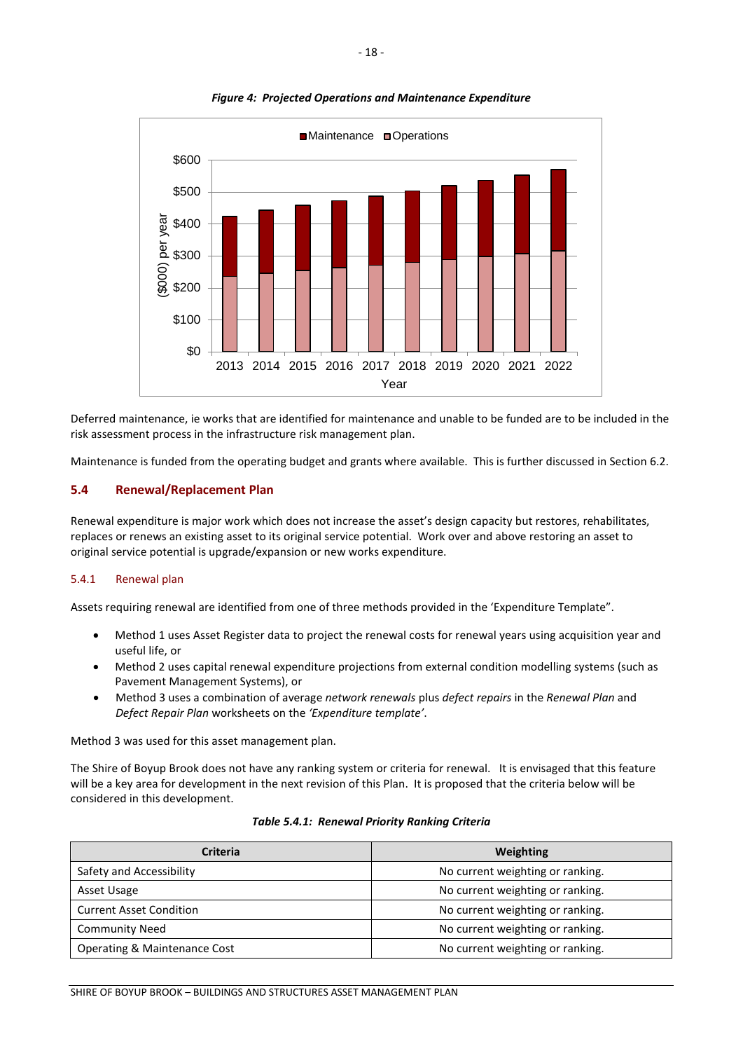

# *Figure 4: Projected Operations and Maintenance Expenditure*

Deferred maintenance, ie works that are identified for maintenance and unable to be funded are to be included in the risk assessment process in the infrastructure risk management plan.

Maintenance is funded from the operating budget and grants where available. This is further discussed in Section 6.2.

# <span id="page-23-0"></span>**5.4 Renewal/Replacement Plan**

Renewal expenditure is major work which does not increase the asset's design capacity but restores, rehabilitates, replaces or renews an existing asset to its original service potential. Work over and above restoring an asset to original service potential is upgrade/expansion or new works expenditure.

# 5.4.1 Renewal plan

Assets requiring renewal are identified from one of three methods provided in the 'Expenditure Template".

- Method 1 uses Asset Register data to project the renewal costs for renewal years using acquisition year and useful life, or
- Method 2 uses capital renewal expenditure projections from external condition modelling systems (such as Pavement Management Systems), or
- Method 3 uses a combination of average *network renewals* plus *defect repairs* in the *Renewal Plan* and *Defect Repair Plan* worksheets on the *'Expenditure template'*.

Method 3 was used for this asset management plan.

The Shire of Boyup Brook does not have any ranking system or criteria for renewal. It is envisaged that this feature will be a key area for development in the next revision of this Plan. It is proposed that the criteria below will be considered in this development.

| <b>Criteria</b>                | Weighting                        |
|--------------------------------|----------------------------------|
| Safety and Accessibility       | No current weighting or ranking. |
| Asset Usage                    | No current weighting or ranking. |
| <b>Current Asset Condition</b> | No current weighting or ranking. |
| <b>Community Need</b>          | No current weighting or ranking. |
| Operating & Maintenance Cost   | No current weighting or ranking. |

#### *Table 5.4.1: Renewal Priority Ranking Criteria*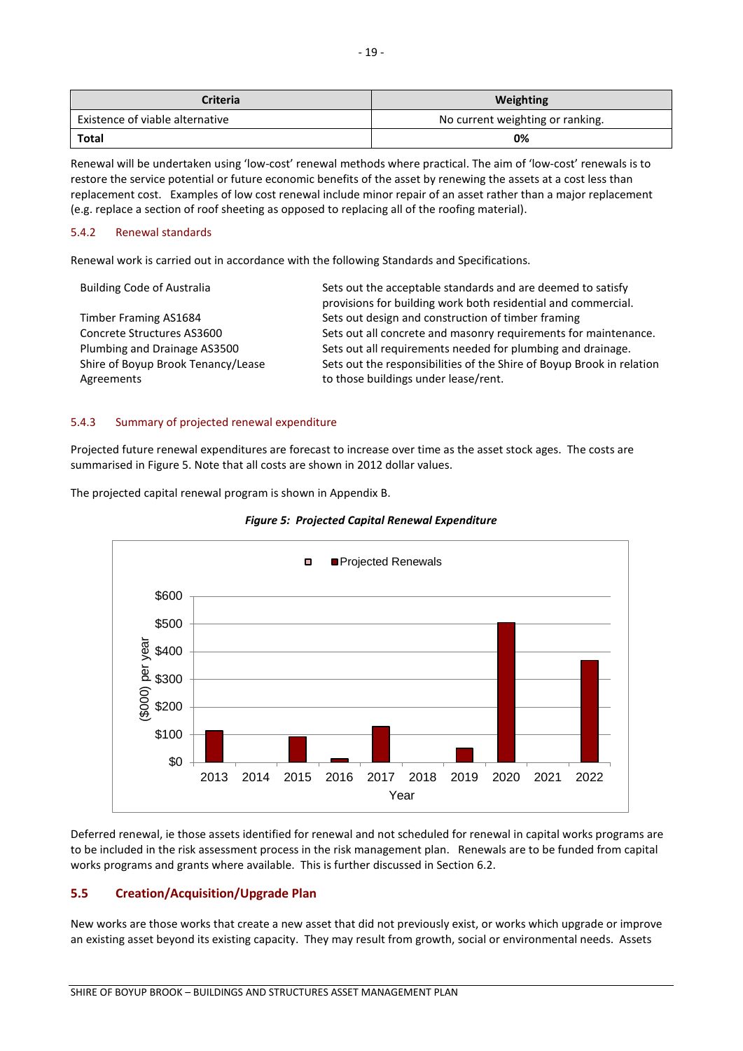| <b>Criteria</b>                 | Weighting                        |
|---------------------------------|----------------------------------|
| Existence of viable alternative | No current weighting or ranking. |
| <b>Total</b>                    | 0%                               |

Renewal will be undertaken using 'low-cost' renewal methods where practical. The aim of 'low-cost' renewals is to restore the service potential or future economic benefits of the asset by renewing the assets at a cost less than replacement cost. Examples of low cost renewal include minor repair of an asset rather than a major replacement (e.g. replace a section of roof sheeting as opposed to replacing all of the roofing material).

# 5.4.2 Renewal standards

Renewal work is carried out in accordance with the following Standards and Specifications.

| <b>Building Code of Australia</b>  | Sets out the acceptable standards and are deemed to satisfy<br>provisions for building work both residential and commercial. |
|------------------------------------|------------------------------------------------------------------------------------------------------------------------------|
| Timber Framing AS1684              | Sets out design and construction of timber framing                                                                           |
| Concrete Structures AS3600         | Sets out all concrete and masonry requirements for maintenance.                                                              |
| Plumbing and Drainage AS3500       | Sets out all requirements needed for plumbing and drainage.                                                                  |
| Shire of Boyup Brook Tenancy/Lease | Sets out the responsibilities of the Shire of Boyup Brook in relation                                                        |
| Agreements                         | to those buildings under lease/rent.                                                                                         |

# 5.4.3 Summary of projected renewal expenditure

Projected future renewal expenditures are forecast to increase over time as the asset stock ages. The costs are summarised in Figure 5. Note that all costs are shown in 2012 dollar values.

The projected capital renewal program is shown in Appendix B.





Deferred renewal, ie those assets identified for renewal and not scheduled for renewal in capital works programs are to be included in the risk assessment process in the risk management plan. Renewals are to be funded from capital works programs and grants where available. This is further discussed in Section 6.2.

# <span id="page-24-0"></span>**5.5 Creation/Acquisition/Upgrade Plan**

New works are those works that create a new asset that did not previously exist, or works which upgrade or improve an existing asset beyond its existing capacity. They may result from growth, social or environmental needs. Assets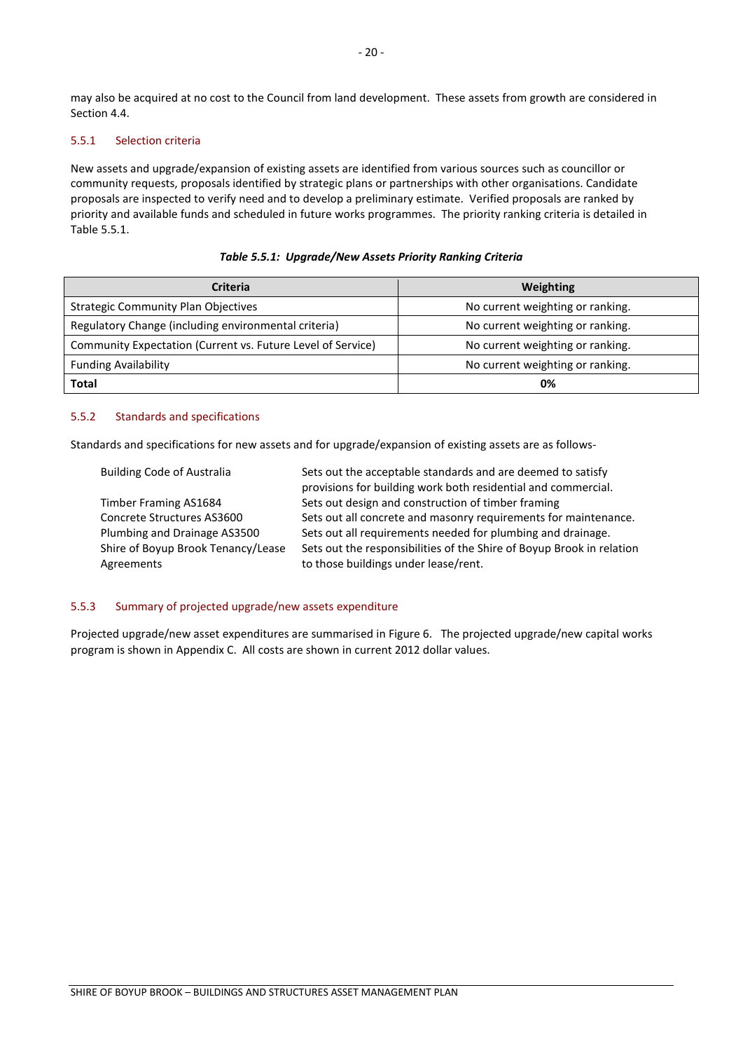may also be acquired at no cost to the Council from land development. These assets from growth are considered in Section 4.4.

# 5.5.1 Selection criteria

New assets and upgrade/expansion of existing assets are identified from various sources such as councillor or community requests, proposals identified by strategic plans or partnerships with other organisations. Candidate proposals are inspected to verify need and to develop a preliminary estimate. Verified proposals are ranked by priority and available funds and scheduled in future works programmes. The priority ranking criteria is detailed in Table 5.5.1.

| <b>Criteria</b>                                             | Weighting                        |
|-------------------------------------------------------------|----------------------------------|
| <b>Strategic Community Plan Objectives</b>                  | No current weighting or ranking. |
| Regulatory Change (including environmental criteria)        | No current weighting or ranking. |
| Community Expectation (Current vs. Future Level of Service) | No current weighting or ranking. |
| <b>Funding Availability</b>                                 | No current weighting or ranking. |
| Total                                                       | 0%                               |

# 5.5.2 Standards and specifications

Standards and specifications for new assets and for upgrade/expansion of existing assets are as follows-

| <b>Building Code of Australia</b>  | Sets out the acceptable standards and are deemed to satisfy<br>provisions for building work both residential and commercial. |
|------------------------------------|------------------------------------------------------------------------------------------------------------------------------|
| Timber Framing AS1684              | Sets out design and construction of timber framing                                                                           |
| Concrete Structures AS3600         | Sets out all concrete and masonry requirements for maintenance.                                                              |
| Plumbing and Drainage AS3500       | Sets out all requirements needed for plumbing and drainage.                                                                  |
| Shire of Boyup Brook Tenancy/Lease | Sets out the responsibilities of the Shire of Boyup Brook in relation                                                        |
| Agreements                         | to those buildings under lease/rent.                                                                                         |

# 5.5.3 Summary of projected upgrade/new assets expenditure

Projected upgrade/new asset expenditures are summarised in Figure 6. The projected upgrade/new capital works program is shown in Appendix C. All costs are shown in current 2012 dollar values.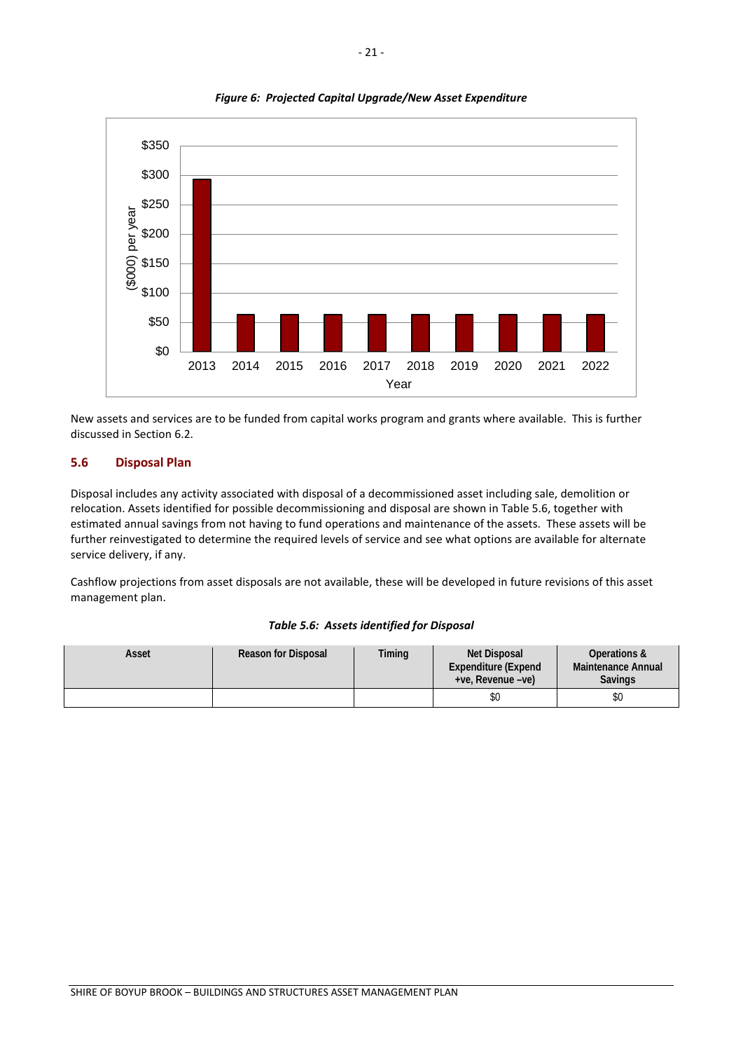

# *Figure 6: Projected Capital Upgrade/New Asset Expenditure*

New assets and services are to be funded from capital works program and grants where available. This is further discussed in Section 6.2.

# <span id="page-26-0"></span>**5.6 Disposal Plan**

Disposal includes any activity associated with disposal of a decommissioned asset including sale, demolition or relocation. Assets identified for possible decommissioning and disposal are shown in Table 5.6, together with estimated annual savings from not having to fund operations and maintenance of the assets. These assets will be further reinvestigated to determine the required levels of service and see what options are available for alternate service delivery, if any.

Cashflow projections from asset disposals are not available, these will be developed in future revisions of this asset management plan.

# *Table 5.6: Assets identified for Disposal*

<span id="page-26-1"></span>

| Asset | <b>Reason for Disposal</b> | Timing | Net Disposal<br><b>Expenditure (Expend)</b><br>+ve, Revenue -ve) | Operations &<br>Maintenance Annual<br><b>Savings</b> |
|-------|----------------------------|--------|------------------------------------------------------------------|------------------------------------------------------|
|       |                            |        | \$0                                                              | \$0                                                  |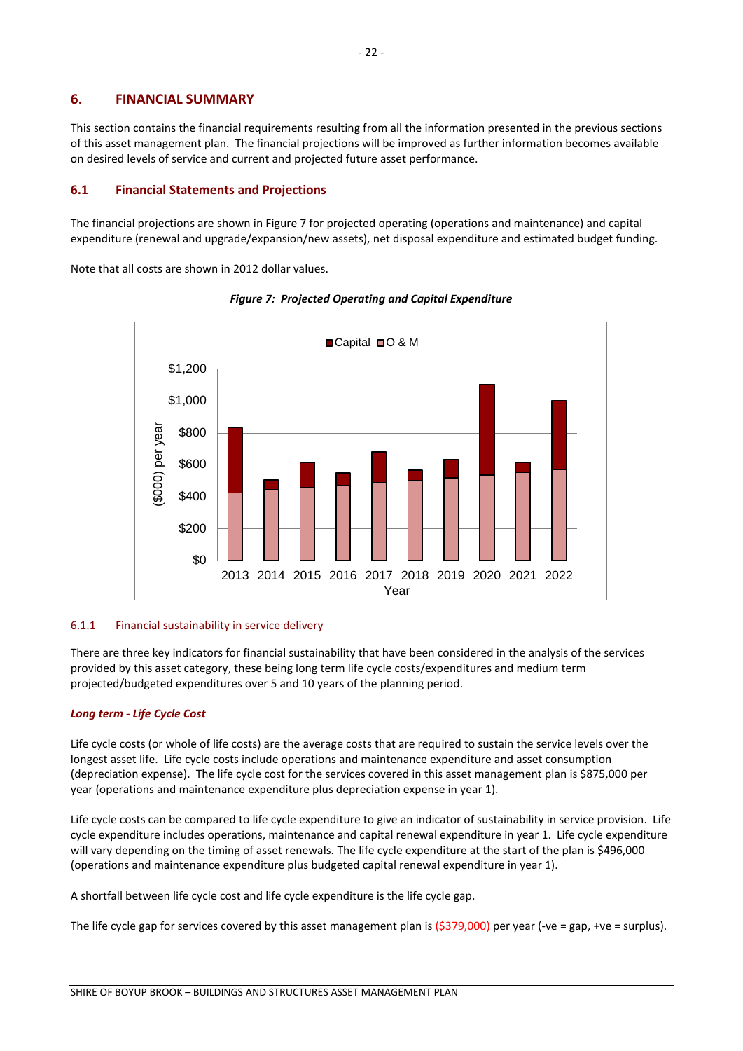# **6. FINANCIAL SUMMARY**

This section contains the financial requirements resulting from all the information presented in the previous sections of this asset management plan. The financial projections will be improved as further information becomes available on desired levels of service and current and projected future asset performance.

# <span id="page-27-0"></span>**6.1 Financial Statements and Projections**

The financial projections are shown in Figure 7 for projected operating (operations and maintenance) and capital expenditure (renewal and upgrade/expansion/new assets), net disposal expenditure and estimated budget funding.

Note that all costs are shown in 2012 dollar values.





# 6.1.1 Financial sustainability in service delivery

There are three key indicators for financial sustainability that have been considered in the analysis of the services provided by this asset category, these being long term life cycle costs/expenditures and medium term projected/budgeted expenditures over 5 and 10 years of the planning period.

# *Long term - Life Cycle Cost*

Life cycle costs (or whole of life costs) are the average costs that are required to sustain the service levels over the longest asset life. Life cycle costs include operations and maintenance expenditure and asset consumption (depreciation expense). The life cycle cost for the services covered in this asset management plan is \$875,000 per year (operations and maintenance expenditure plus depreciation expense in year 1).

Life cycle costs can be compared to life cycle expenditure to give an indicator of sustainability in service provision. Life cycle expenditure includes operations, maintenance and capital renewal expenditure in year 1. Life cycle expenditure will vary depending on the timing of asset renewals. The life cycle expenditure at the start of the plan is \$496,000 (operations and maintenance expenditure plus budgeted capital renewal expenditure in year 1).

A shortfall between life cycle cost and life cycle expenditure is the life cycle gap.

The life cycle gap for services covered by this asset management plan is  $(5379,000)$  per year (-ve = gap, +ve = surplus).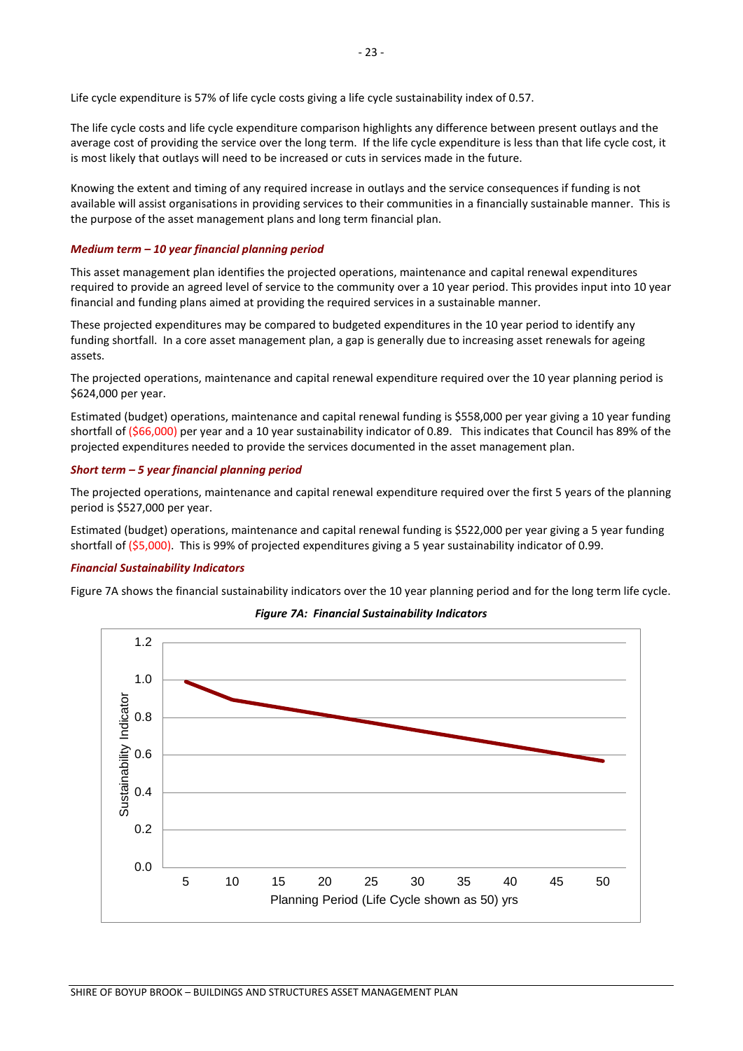Life cycle expenditure is 57% of life cycle costs giving a life cycle sustainability index of 0.57.

The life cycle costs and life cycle expenditure comparison highlights any difference between present outlays and the average cost of providing the service over the long term. If the life cycle expenditure is less than that life cycle cost, it is most likely that outlays will need to be increased or cuts in services made in the future.

Knowing the extent and timing of any required increase in outlays and the service consequences if funding is not available will assist organisations in providing services to their communities in a financially sustainable manner. This is the purpose of the asset management plans and long term financial plan.

## *Medium term – 10 year financial planning period*

This asset management plan identifies the projected operations, maintenance and capital renewal expenditures required to provide an agreed level of service to the community over a 10 year period. This provides input into 10 year financial and funding plans aimed at providing the required services in a sustainable manner.

These projected expenditures may be compared to budgeted expenditures in the 10 year period to identify any funding shortfall. In a core asset management plan, a gap is generally due to increasing asset renewals for ageing assets.

The projected operations, maintenance and capital renewal expenditure required over the 10 year planning period is \$624,000 per year.

Estimated (budget) operations, maintenance and capital renewal funding is \$558,000 per year giving a 10 year funding shortfall of (\$66,000) per year and a 10 year sustainability indicator of 0.89. This indicates that Council has 89% of the projected expenditures needed to provide the services documented in the asset management plan.

# *Short term – 5 year financial planning period*

The projected operations, maintenance and capital renewal expenditure required over the first 5 years of the planning period is \$527,000 per year.

Estimated (budget) operations, maintenance and capital renewal funding is \$522,000 per year giving a 5 year funding shortfall of (\$5,000). This is 99% of projected expenditures giving a 5 year sustainability indicator of 0.99.

## *Financial Sustainability Indicators*

Figure 7A shows the financial sustainability indicators over the 10 year planning period and for the long term life cycle.



*Figure 7A: Financial Sustainability Indicators*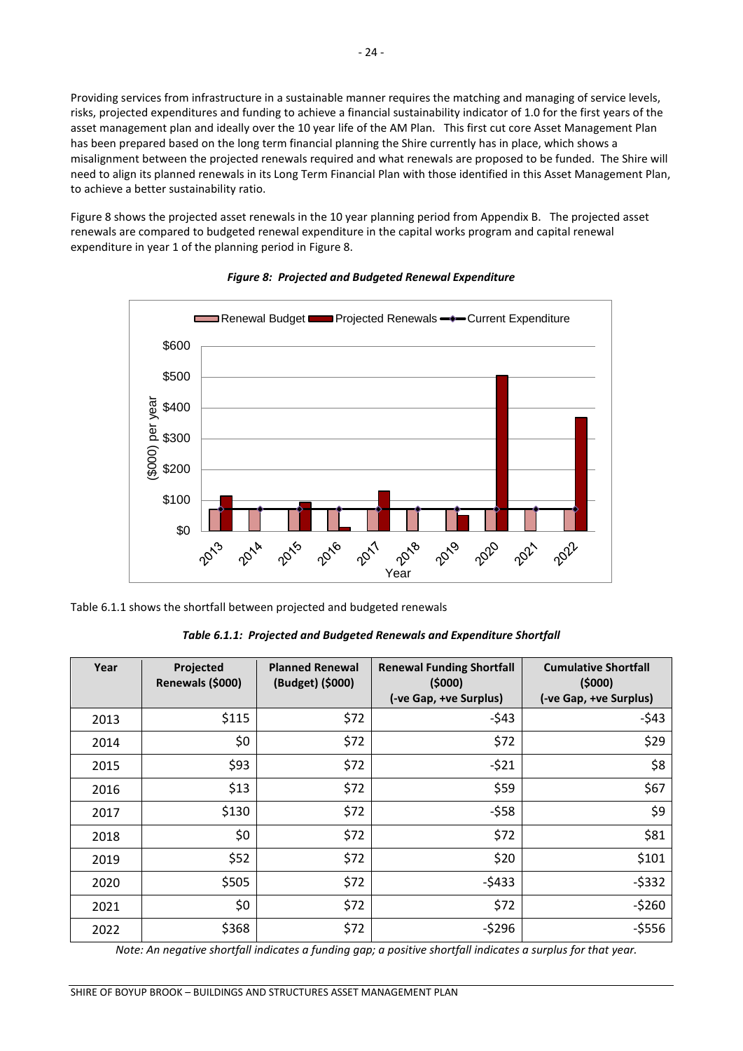Providing services from infrastructure in a sustainable manner requires the matching and managing of service levels, risks, projected expenditures and funding to achieve a financial sustainability indicator of 1.0 for the first years of the asset management plan and ideally over the 10 year life of the AM Plan. This first cut core Asset Management Plan has been prepared based on the long term financial planning the Shire currently has in place, which shows a misalignment between the projected renewals required and what renewals are proposed to be funded. The Shire will need to align its planned renewals in its Long Term Financial Plan with those identified in this Asset Management Plan, to achieve a better sustainability ratio.

Figure 8 shows the projected asset renewals in the 10 year planning period from Appendix B. The projected asset renewals are compared to budgeted renewal expenditure in the capital works program and capital renewal expenditure in year 1 of the planning period in Figure 8.





Table 6.1.1 shows the shortfall between projected and budgeted renewals

*Table 6.1.1: Projected and Budgeted Renewals and Expenditure Shortfall*

| Year | Projected<br>Renewals (\$000) | <b>Planned Renewal</b><br>(Budget) (\$000) | <b>Renewal Funding Shortfall</b><br>(5000)<br>(-ve Gap, +ve Surplus) | <b>Cumulative Shortfall</b><br>(5000)<br>(-ve Gap, +ve Surplus) |
|------|-------------------------------|--------------------------------------------|----------------------------------------------------------------------|-----------------------------------------------------------------|
| 2013 | \$115                         | \$72                                       | $-543$                                                               | $-543$                                                          |
| 2014 | \$0                           | \$72                                       | \$72                                                                 | \$29                                                            |
| 2015 | \$93                          | \$72                                       | $-521$                                                               | \$8                                                             |
| 2016 | \$13                          | \$72                                       | \$59                                                                 | \$67                                                            |
| 2017 | \$130                         | \$72                                       | $-558$                                                               | \$9                                                             |
| 2018 | \$0                           | \$72                                       | \$72                                                                 | \$81                                                            |
| 2019 | \$52                          | \$72                                       | \$20                                                                 | \$101                                                           |
| 2020 | \$505                         | \$72                                       | $-5433$                                                              | $-5332$                                                         |
| 2021 | \$0                           | \$72                                       | \$72                                                                 | $-5260$                                                         |
| 2022 | \$368                         | \$72                                       | $-5296$                                                              | $-5556$                                                         |

*Note: An negative shortfall indicates a funding gap; a positive shortfall indicates a surplus for that year.*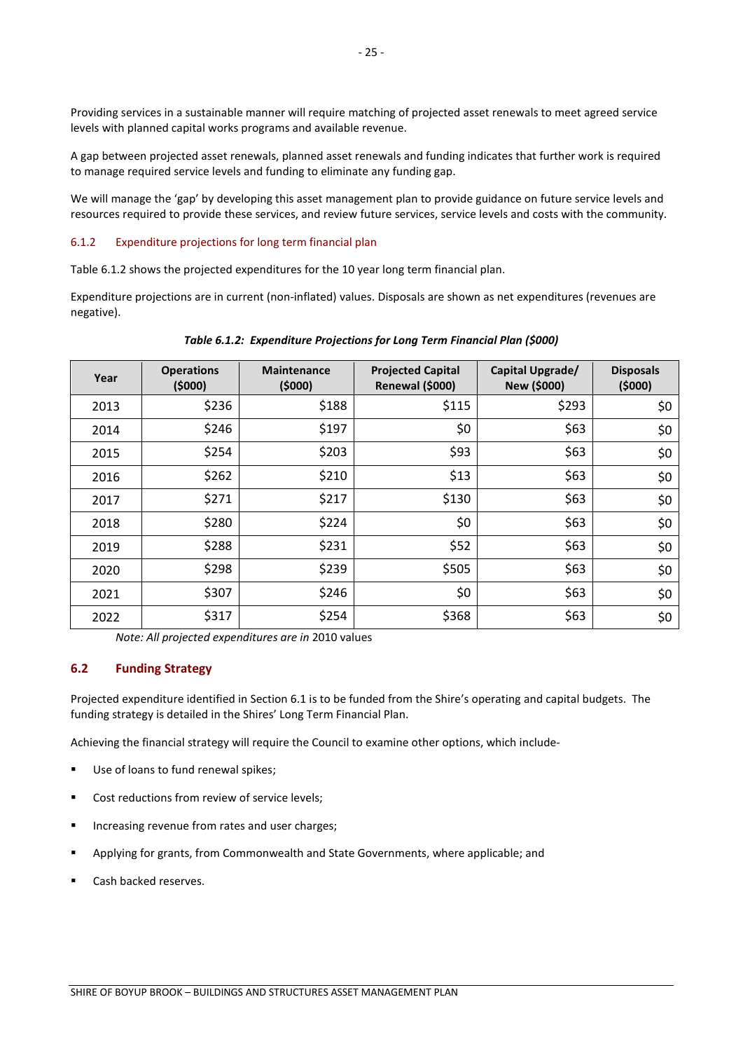Providing services in a sustainable manner will require matching of projected asset renewals to meet agreed service levels with planned capital works programs and available revenue.

A gap between projected asset renewals, planned asset renewals and funding indicates that further work is required to manage required service levels and funding to eliminate any funding gap.

We will manage the 'gap' by developing this asset management plan to provide guidance on future service levels and resources required to provide these services, and review future services, service levels and costs with the community.

# 6.1.2 Expenditure projections for long term financial plan

Table 6.1.2 shows the projected expenditures for the 10 year long term financial plan.

Expenditure projections are in current (non-inflated) values. Disposals are shown as net expenditures (revenues are negative).

| Year | <b>Operations</b><br>(5000) | <b>Maintenance</b><br>(5000) | <b>Projected Capital</b><br>Renewal (\$000) | Capital Upgrade/<br>New (\$000) | <b>Disposals</b><br>(5000) |
|------|-----------------------------|------------------------------|---------------------------------------------|---------------------------------|----------------------------|
| 2013 | \$236                       | \$188                        | \$115                                       | \$293                           | \$0                        |
| 2014 | \$246                       | \$197                        | \$0                                         | \$63                            | \$0                        |
| 2015 | \$254                       | \$203                        | \$93                                        | \$63                            | \$0                        |
| 2016 | \$262                       | \$210                        | \$13                                        | \$63                            | \$0                        |
| 2017 | \$271                       | \$217                        | \$130                                       | \$63                            | \$0                        |
| 2018 | \$280                       | \$224                        | \$0                                         | \$63                            | \$0                        |
| 2019 | \$288                       | \$231                        | \$52                                        | \$63                            | \$0                        |
| 2020 | \$298                       | \$239                        | \$505                                       | \$63                            | \$0                        |
| 2021 | \$307                       | \$246                        | \$0                                         | \$63                            | \$0                        |
| 2022 | \$317                       | \$254                        | \$368                                       | \$63                            | \$0                        |

#### *Table 6.1.2: Expenditure Projections for Long Term Financial Plan (\$000)*

*Note: All projected expenditures are in* 2010 values

# <span id="page-30-0"></span>**6.2 Funding Strategy**

Projected expenditure identified in Section 6.1 is to be funded from the Shire's operating and capital budgets. The funding strategy is detailed in the Shires' Long Term Financial Plan.

Achieving the financial strategy will require the Council to examine other options, which include-

- Use of loans to fund renewal spikes;
- **Cost reductions from review of service levels;**
- **Increasing revenue from rates and user charges;**
- Applying for grants, from Commonwealth and State Governments, where applicable; and
- Cash backed reserves.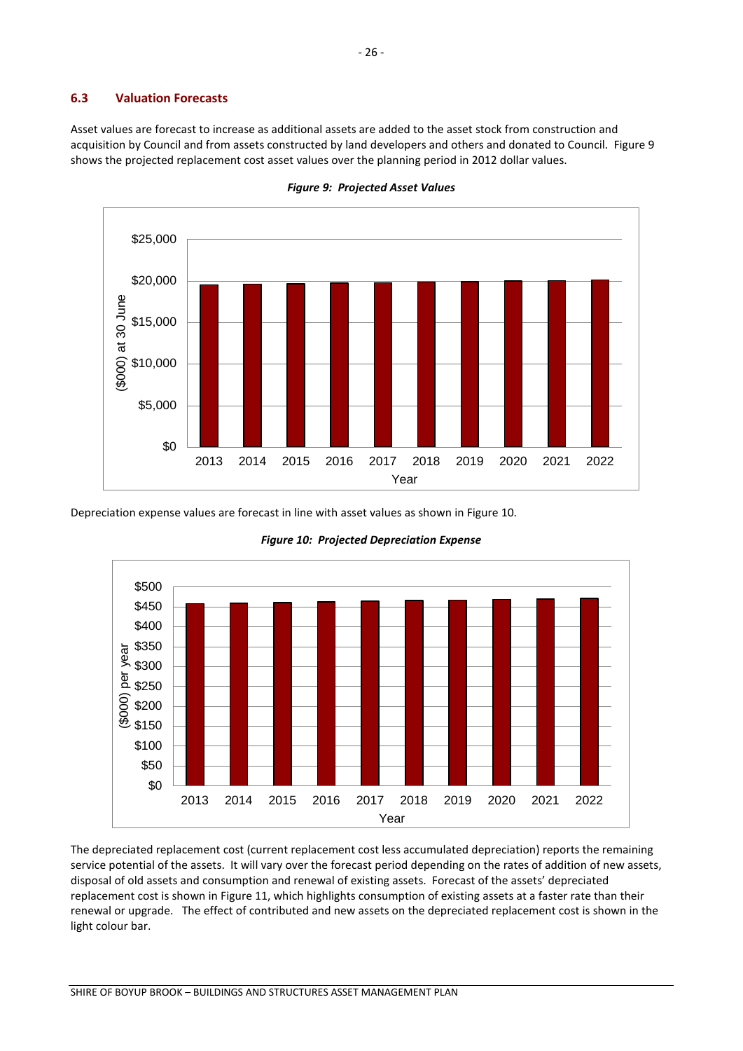# <span id="page-31-0"></span>**6.3 Valuation Forecasts**

Asset values are forecast to increase as additional assets are added to the asset stock from construction and acquisition by Council and from assets constructed by land developers and others and donated to Council. Figure 9 shows the projected replacement cost asset values over the planning period in 2012 dollar values.



*Figure 9: Projected Asset Values*

Depreciation expense values are forecast in line with asset values as shown in Figure 10.



*Figure 10: Projected Depreciation Expense*

The depreciated replacement cost (current replacement cost less accumulated depreciation) reports the remaining service potential of the assets. It will vary over the forecast period depending on the rates of addition of new assets, disposal of old assets and consumption and renewal of existing assets. Forecast of the assets' depreciated replacement cost is shown in Figure 11, which highlights consumption of existing assets at a faster rate than their renewal or upgrade. The effect of contributed and new assets on the depreciated replacement cost is shown in the light colour bar.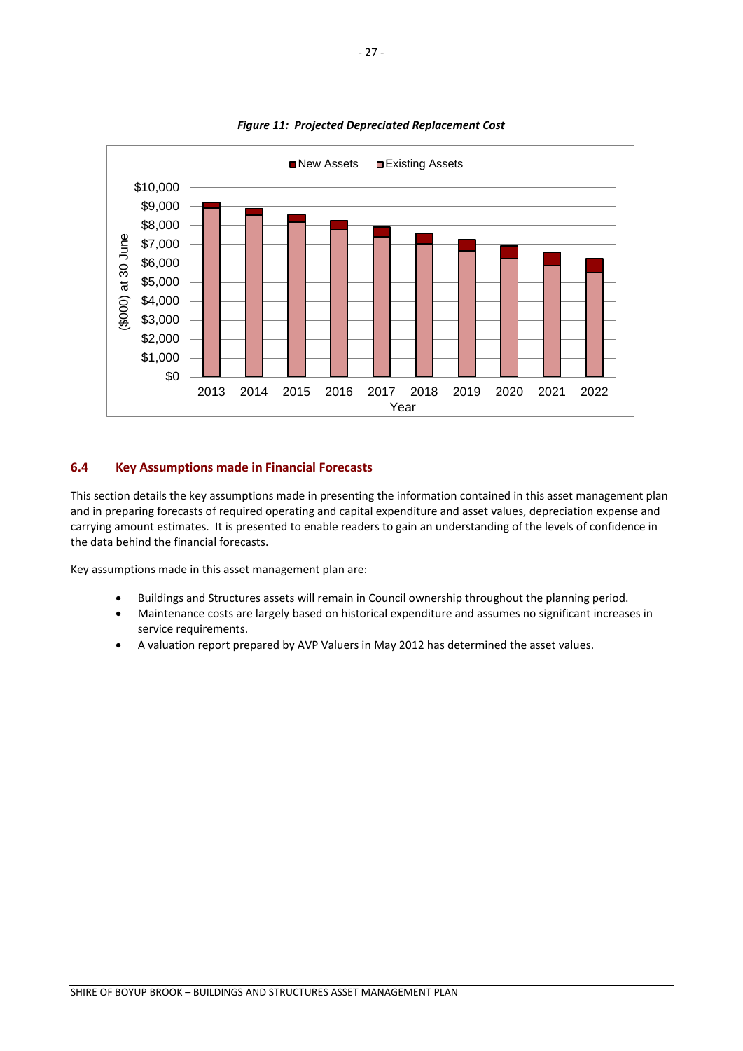

## *Figure 11: Projected Depreciated Replacement Cost*

# <span id="page-32-0"></span>**6.4 Key Assumptions made in Financial Forecasts**

This section details the key assumptions made in presenting the information contained in this asset management plan and in preparing forecasts of required operating and capital expenditure and asset values, depreciation expense and carrying amount estimates. It is presented to enable readers to gain an understanding of the levels of confidence in the data behind the financial forecasts.

Key assumptions made in this asset management plan are:

- Buildings and Structures assets will remain in Council ownership throughout the planning period.
- Maintenance costs are largely based on historical expenditure and assumes no significant increases in service requirements.
- <span id="page-32-1"></span>• A valuation report prepared by AVP Valuers in May 2012 has determined the asset values.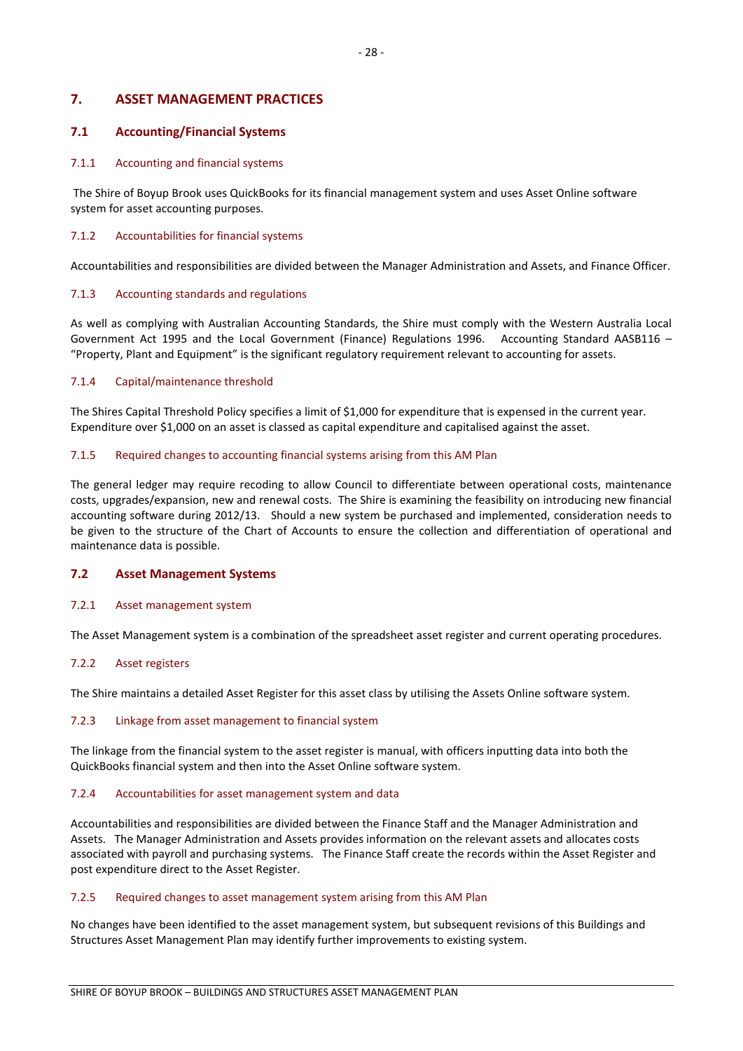# **7. ASSET MANAGEMENT PRACTICES**

# <span id="page-33-0"></span>**7.1 Accounting/Financial Systems**

## 7.1.1 Accounting and financial systems

The Shire of Boyup Brook uses QuickBooks for its financial management system and uses Asset Online software system for asset accounting purposes.

## 7.1.2 Accountabilities for financial systems

Accountabilities and responsibilities are divided between the Manager Administration and Assets, and Finance Officer.

## 7.1.3 Accounting standards and regulations

As well as complying with Australian Accounting Standards, the Shire must comply with the Western Australia Local Government Act 1995 and the Local Government (Finance) Regulations 1996. Accounting Standard AASB116 – "Property, Plant and Equipment" is the significant regulatory requirement relevant to accounting for assets.

## 7.1.4 Capital/maintenance threshold

The Shires Capital Threshold Policy specifies a limit of \$1,000 for expenditure that is expensed in the current year. Expenditure over \$1,000 on an asset is classed as capital expenditure and capitalised against the asset.

## 7.1.5 Required changes to accounting financial systems arising from this AM Plan

The general ledger may require recoding to allow Council to differentiate between operational costs, maintenance costs, upgrades/expansion, new and renewal costs. The Shire is examining the feasibility on introducing new financial accounting software during 2012/13. Should a new system be purchased and implemented, consideration needs to be given to the structure of the Chart of Accounts to ensure the collection and differentiation of operational and maintenance data is possible.

# <span id="page-33-1"></span>**7.2 Asset Management Systems**

#### 7.2.1 Asset management system

The Asset Management system is a combination of the spreadsheet asset register and current operating procedures.

## 7.2.2 Asset registers

The Shire maintains a detailed Asset Register for this asset class by utilising the Assets Online software system.

#### 7.2.3 Linkage from asset management to financial system

The linkage from the financial system to the asset register is manual, with officers inputting data into both the QuickBooks financial system and then into the Asset Online software system.

#### 7.2.4 Accountabilities for asset management system and data

Accountabilities and responsibilities are divided between the Finance Staff and the Manager Administration and Assets. The Manager Administration and Assets provides information on the relevant assets and allocates costs associated with payroll and purchasing systems. The Finance Staff create the records within the Asset Register and post expenditure direct to the Asset Register.

#### 7.2.5 Required changes to asset management system arising from this AM Plan

No changes have been identified to the asset management system, but subsequent revisions of this Buildings and Structures Asset Management Plan may identify further improvements to existing system.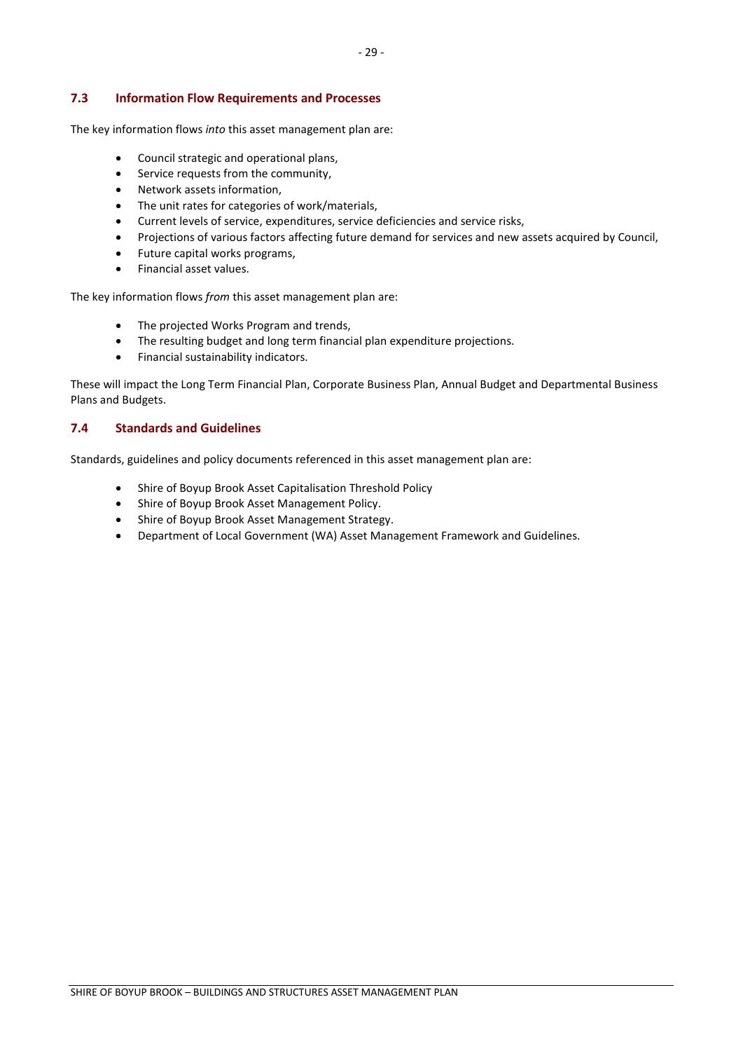# <span id="page-34-0"></span>**7.3 Information Flow Requirements and Processes**

The key information flows *into* this asset management plan are:

- Council strategic and operational plans,
- Service requests from the community,
- Network assets information,
- The unit rates for categories of work/materials,
- Current levels of service, expenditures, service deficiencies and service risks,
- Projections of various factors affecting future demand for services and new assets acquired by Council,
- Future capital works programs,
- Financial asset values.

The key information flows *from* this asset management plan are:

- The projected Works Program and trends,
- The resulting budget and long term financial plan expenditure projections.
- Financial sustainability indicators.

These will impact the Long Term Financial Plan, Corporate Business Plan, Annual Budget and Departmental Business Plans and Budgets.

# <span id="page-34-1"></span>**7.4 Standards and Guidelines**

Standards, guidelines and policy documents referenced in this asset management plan are:

- Shire of Boyup Brook Asset Capitalisation Threshold Policy
- Shire of Boyup Brook Asset Management Policy.
- Shire of Boyup Brook Asset Management Strategy.
- <span id="page-34-2"></span>• Department of Local Government (WA) Asset Management Framework and Guidelines.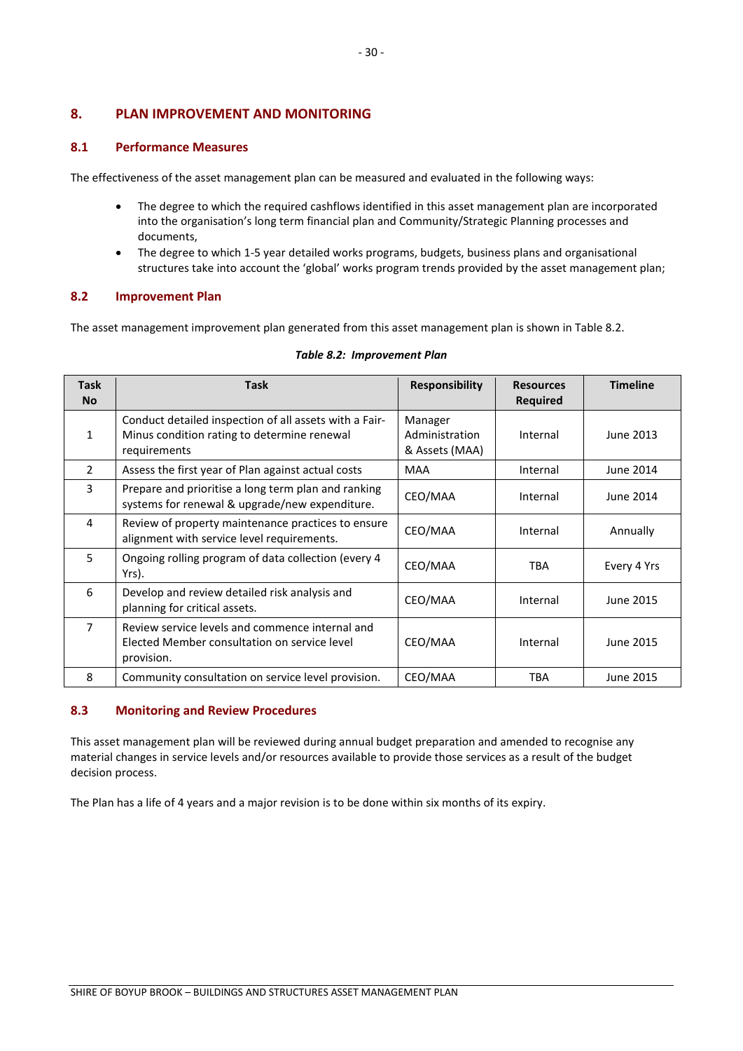# **8. PLAN IMPROVEMENT AND MONITORING**

# <span id="page-35-0"></span>**8.1 Performance Measures**

The effectiveness of the asset management plan can be measured and evaluated in the following ways:

- The degree to which the required cashflows identified in this asset management plan are incorporated into the organisation's long term financial plan and Community/Strategic Planning processes and documents,
- The degree to which 1-5 year detailed works programs, budgets, business plans and organisational structures take into account the 'global' works program trends provided by the asset management plan;

# <span id="page-35-1"></span>**8.2 Improvement Plan**

The asset management improvement plan generated from this asset management plan is shown in Table 8.2.

| Task<br><b>No</b> | <b>Task</b>                                                                                                           | <b>Responsibility</b>                       | <b>Resources</b><br><b>Required</b> | <b>Timeline</b> |
|-------------------|-----------------------------------------------------------------------------------------------------------------------|---------------------------------------------|-------------------------------------|-----------------|
| 1                 | Conduct detailed inspection of all assets with a Fair-<br>Minus condition rating to determine renewal<br>requirements | Manager<br>Administration<br>& Assets (MAA) | Internal                            | June 2013       |
| $\mathcal{L}$     | Assess the first year of Plan against actual costs                                                                    | <b>MAA</b>                                  | Internal                            | June 2014       |
| 3                 | Prepare and prioritise a long term plan and ranking<br>systems for renewal & upgrade/new expenditure.                 | CEO/MAA                                     | Internal                            | June 2014       |
| 4                 | Review of property maintenance practices to ensure<br>alignment with service level requirements.                      | CEO/MAA                                     | Internal                            | Annually        |
| 5                 | Ongoing rolling program of data collection (every 4<br>Yrs).                                                          | CEO/MAA                                     | <b>TBA</b>                          | Every 4 Yrs     |
| 6                 | Develop and review detailed risk analysis and<br>planning for critical assets.                                        | CEO/MAA                                     | Internal                            | June 2015       |
| $\overline{7}$    | Review service levels and commence internal and<br>Elected Member consultation on service level<br>provision.         | CEO/MAA                                     | Internal                            | June 2015       |
| 8                 | Community consultation on service level provision.                                                                    | CEO/MAA                                     | <b>TBA</b>                          | June 2015       |

#### *Table 8.2: Improvement Plan*

#### <span id="page-35-2"></span>**8.3 Monitoring and Review Procedures**

This asset management plan will be reviewed during annual budget preparation and amended to recognise any material changes in service levels and/or resources available to provide those services as a result of the budget decision process.

The Plan has a life of 4 years and a major revision is to be done within six months of its expiry.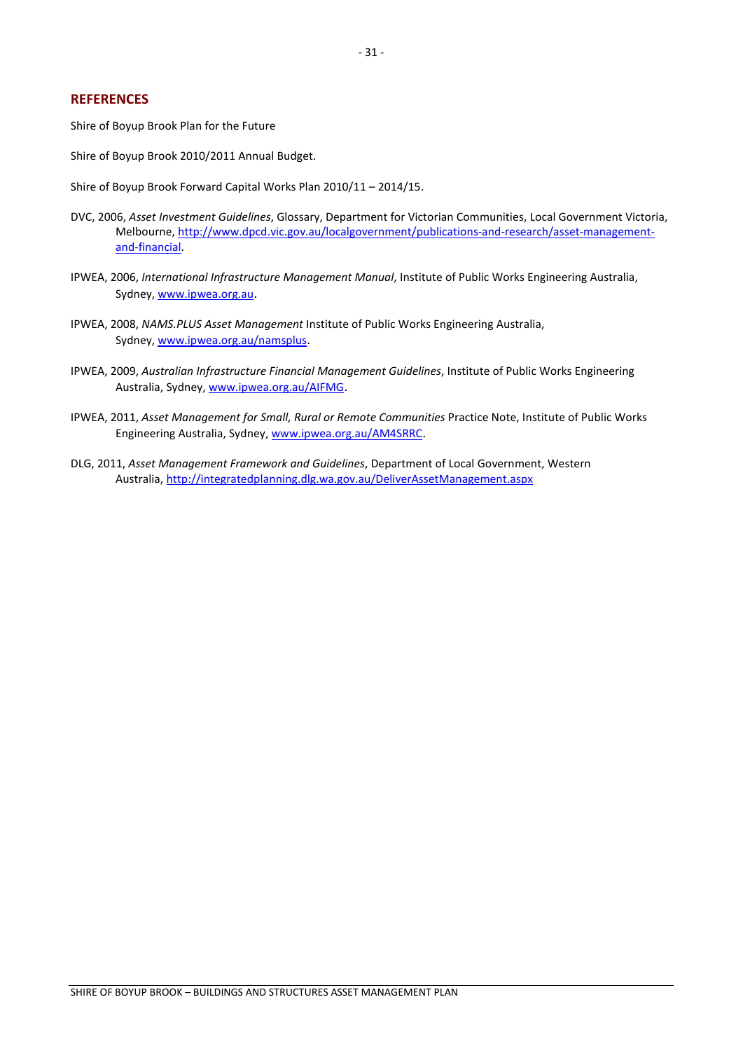# <span id="page-36-0"></span>**REFERENCES**

Shire of Boyup Brook Plan for the Future

Shire of Boyup Brook 2010/2011 Annual Budget.

Shire of Boyup Brook Forward Capital Works Plan 2010/11 – 2014/15.

- DVC, 2006, *Asset Investment Guidelines*, Glossary, Department for Victorian Communities, Local Government Victoria, Melbourne, [http://www.dpcd.vic.gov.au/localgovernment/publications-and-research/asset-management](http://www.dpcd.vic.gov.au/localgovernment/publications-and-research/asset-management-and-financial)[and-financial.](http://www.dpcd.vic.gov.au/localgovernment/publications-and-research/asset-management-and-financial)
- IPWEA, 2006, *International Infrastructure Management Manual*, Institute of Public Works Engineering Australia, Sydney[, www.ipwea.org.au](http://www.ipwea.org.au/).
- IPWEA, 2008, *NAMS.PLUS Asset Management* Institute of Public Works Engineering Australia, Sydney[, www.ipwea.org.au/namsplus.](http://www.ipwea.org.au/namsplus)
- IPWEA, 2009, *Australian Infrastructure Financial Management Guidelines*, Institute of Public Works Engineering Australia, Sydney, [www.ipwea.org.au/AIFMG](http://www.ipwea.org.au/AIFMG).
- IPWEA, 2011, *Asset Management for Small, Rural or Remote Communities* Practice Note, Institute of Public Works Engineering Australia, Sydney[, www.ipwea.org.au/AM4SRRC](http://www.ipwea.org.au/AM4SRRC).
- DLG, 2011, *Asset Management Framework and Guidelines*, Department of Local Government, Western Australia[, http://integratedplanning.dlg.wa.gov.au/DeliverAssetManagement.aspx](http://integratedplanning.dlg.wa.gov.au/DeliverAssetManagement.aspx)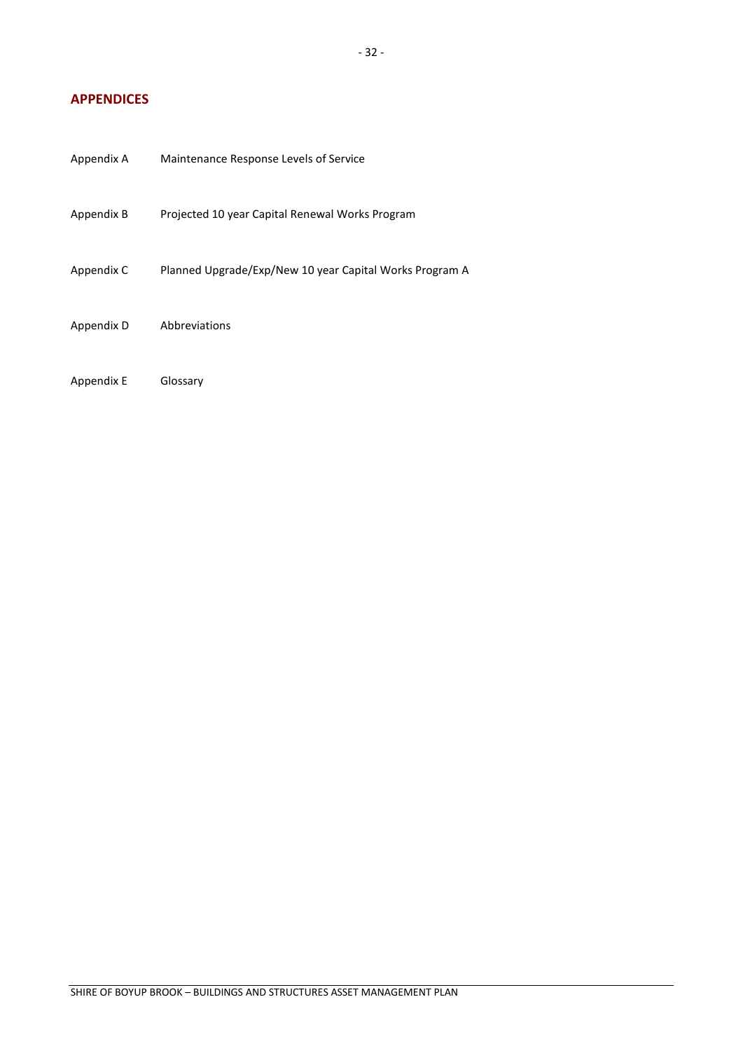# <span id="page-37-0"></span>**APPENDICES**

| Appendix A | Maintenance Response Levels of Service                  |
|------------|---------------------------------------------------------|
| Appendix B | Projected 10 year Capital Renewal Works Program         |
| Appendix C | Planned Upgrade/Exp/New 10 year Capital Works Program A |
| Appendix D | Abbreviations                                           |
| Appendix E | Glossary                                                |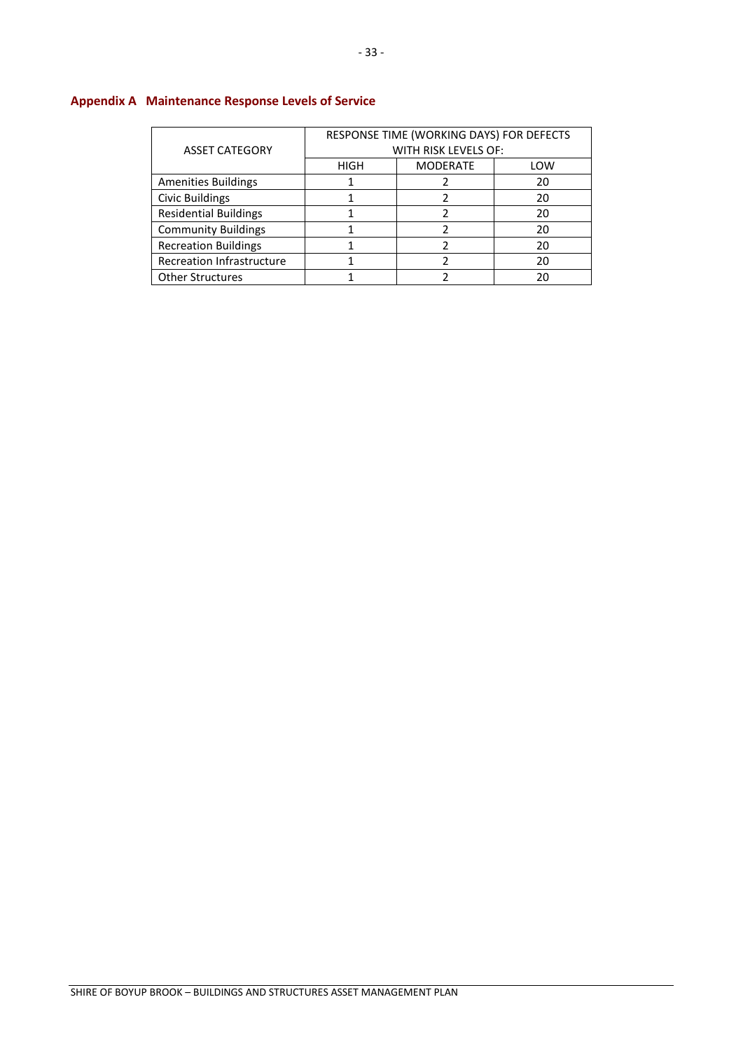| <b>ASSET CATEGORY</b>            | RESPONSE TIME (WORKING DAYS) FOR DEFECTS<br>WITH RISK LEVELS OF: |                 |     |  |
|----------------------------------|------------------------------------------------------------------|-----------------|-----|--|
|                                  | HIGH                                                             | <b>MODERATE</b> | LOW |  |
| <b>Amenities Buildings</b>       |                                                                  |                 | 20  |  |
| <b>Civic Buildings</b>           |                                                                  |                 | 20  |  |
| <b>Residential Buildings</b>     |                                                                  |                 | 20  |  |
| <b>Community Buildings</b>       |                                                                  |                 | 20  |  |
| <b>Recreation Buildings</b>      |                                                                  |                 | 20  |  |
| <b>Recreation Infrastructure</b> |                                                                  |                 | 20  |  |
| <b>Other Structures</b>          |                                                                  |                 | 20  |  |

# <span id="page-38-0"></span>**Appendix A Maintenance Response Levels of Service**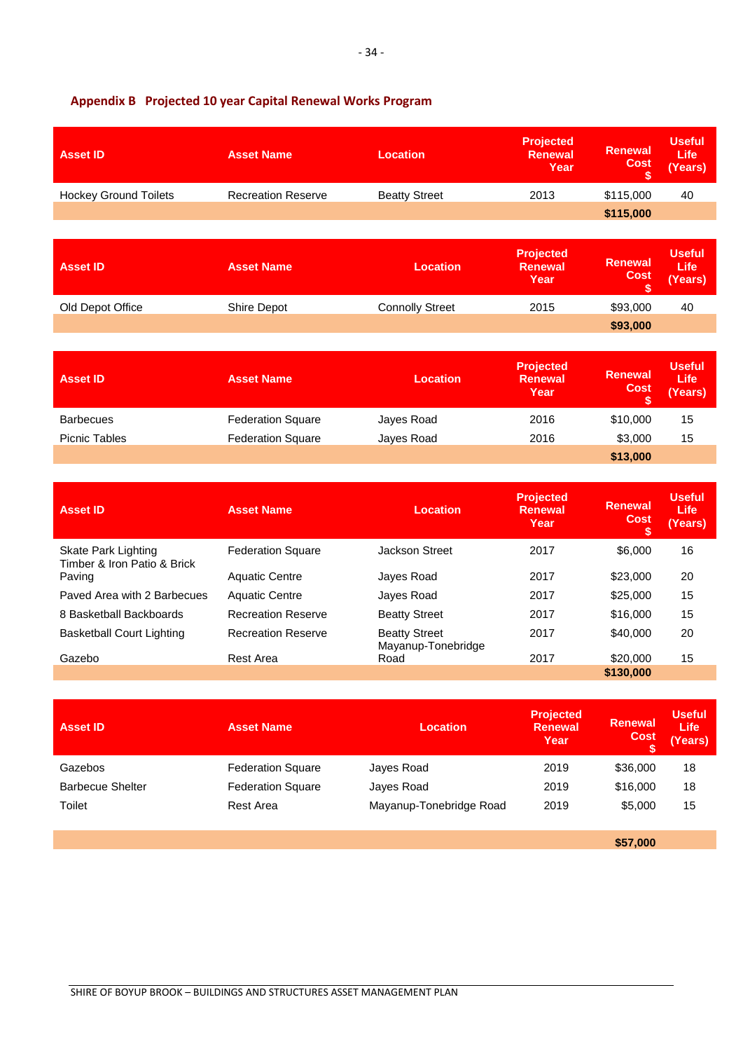| <b>Asset ID</b>              | <b>Asset Name</b>         | <b>Location</b>        | <b>Projected</b><br><b>Renewal</b><br>Year | <b>Renewal</b><br><b>Cost</b><br>\$ | <b>Useful</b><br>Life<br>(Years)   |
|------------------------------|---------------------------|------------------------|--------------------------------------------|-------------------------------------|------------------------------------|
| <b>Hockey Ground Toilets</b> | <b>Recreation Reserve</b> | <b>Beatty Street</b>   | 2013                                       | \$115,000                           | 40                                 |
|                              |                           |                        |                                            | \$115,000                           |                                    |
|                              |                           |                        |                                            |                                     |                                    |
| <b>Asset ID</b>              | <b>Asset Name</b>         | <b>Location</b>        | <b>Projected</b><br><b>Renewal</b><br>Year | <b>Renewal</b><br><b>Cost</b><br>\$ | <b>Useful</b><br>Life<br>(Years)   |
| Old Depot Office             | Shire Depot               | <b>Connolly Street</b> | 2015                                       | \$93,000                            | 40                                 |
|                              |                           |                        |                                            | \$93,000                            |                                    |
|                              |                           |                        |                                            |                                     |                                    |
| <b>Asset ID</b>              | <b>Asset Name</b>         | <b>Location</b>        | <b>Projected</b><br><b>Renewal</b><br>Year | <b>Renewal</b><br><b>Cost</b><br>\$ | <b>Useful</b><br>Life<br>(Years)   |
| <b>Barbecues</b>             | <b>Federation Square</b>  | Jayes Road             | 2016                                       | \$10,000                            | 15                                 |
| <b>Picnic Tables</b>         | <b>Federation Square</b>  | Jayes Road             | 2016                                       | \$3,000                             | 15                                 |
|                              |                           |                        |                                            | \$13,000                            |                                    |
|                              |                           |                        |                                            |                                     |                                    |
| $A = 1D$                     | Accos Namo                | Location               | <b>Projected</b><br><b>Donougl</b>         | <b>Renewal</b>                      | <b>Useful</b><br>1.36 <sub>1</sub> |

# <span id="page-39-0"></span>**Appendix B Projected 10 year Capital Renewal Works Program**

| <b>Asset ID</b>                                    | <b>Asset Name</b>         | Location                                   | <b>Renewal</b><br>Year | <b>Renewal</b><br>Cost | <b>Life</b><br>(Years) |
|----------------------------------------------------|---------------------------|--------------------------------------------|------------------------|------------------------|------------------------|
| Skate Park Lighting<br>Timber & Iron Patio & Brick | <b>Federation Square</b>  | <b>Jackson Street</b>                      | 2017                   | \$6,000                | 16                     |
| Paving                                             | <b>Aquatic Centre</b>     | Jayes Road                                 | 2017                   | \$23,000               | 20                     |
| Paved Area with 2 Barbecues                        | <b>Aquatic Centre</b>     | Jayes Road                                 | 2017                   | \$25,000               | 15                     |
| 8 Basketball Backboards                            | <b>Recreation Reserve</b> | <b>Beatty Street</b>                       | 2017                   | \$16,000               | 15                     |
| <b>Basketball Court Lighting</b>                   | <b>Recreation Reserve</b> | <b>Beatty Street</b><br>Mayanup-Tonebridge | 2017                   | \$40,000               | 20                     |
| Gazebo                                             | Rest Area                 | Road                                       | 2017                   | \$20,000               | 15                     |
|                                                    |                           |                                            |                        | \$130,000              |                        |

| <b>Asset ID</b>         | <b>Asset Name</b>        | Location                | <b>Projected</b><br><b>Renewal</b><br>Year | <b>Renewal</b><br><b>Cost</b> | <b>Useful</b><br><b>Life</b><br>(Years) |
|-------------------------|--------------------------|-------------------------|--------------------------------------------|-------------------------------|-----------------------------------------|
| Gazebos                 | <b>Federation Square</b> | Jayes Road              | 2019                                       | \$36,000                      | 18                                      |
| <b>Barbecue Shelter</b> | <b>Federation Square</b> | Jayes Road              | 2019                                       | \$16,000                      | 18                                      |
| Toilet                  | Rest Area                | Mayanup-Tonebridge Road | 2019                                       | \$5,000                       | 15                                      |

**\$57,000**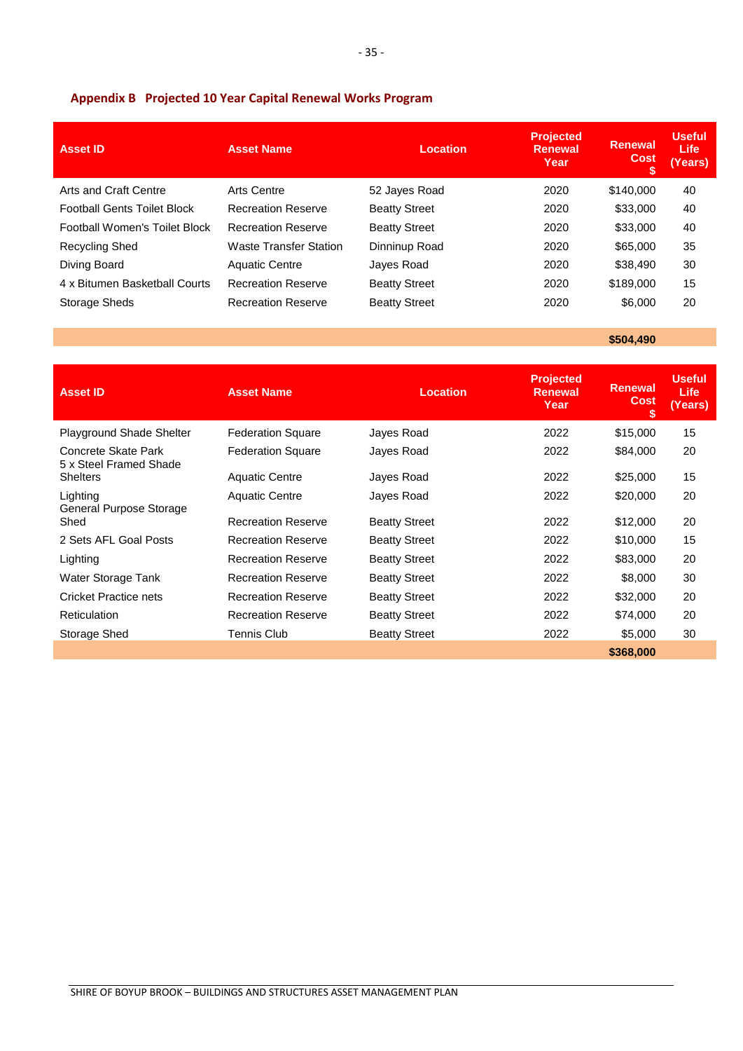# **Appendix B Projected 10 Year Capital Renewal Works Program**

| <b>Asset ID</b>                      | <b>Asset Name</b>             | Location             | <b>Projected</b><br><b>Renewal</b><br>Year | Renewal<br><b>Cost</b> | <b>Useful</b><br>Life<br>(Years) |
|--------------------------------------|-------------------------------|----------------------|--------------------------------------------|------------------------|----------------------------------|
| Arts and Craft Centre                | Arts Centre                   | 52 Jayes Road        | 2020                                       | \$140,000              | 40                               |
| <b>Football Gents Toilet Block</b>   | <b>Recreation Reserve</b>     | <b>Beatty Street</b> | 2020                                       | \$33,000               | 40                               |
| <b>Football Women's Toilet Block</b> | <b>Recreation Reserve</b>     | <b>Beatty Street</b> | 2020                                       | \$33,000               | 40                               |
| <b>Recycling Shed</b>                | <b>Waste Transfer Station</b> | Dinninup Road        | 2020                                       | \$65,000               | 35                               |
| Diving Board                         | <b>Aquatic Centre</b>         | Jayes Road           | 2020                                       | \$38,490               | 30                               |
| 4 x Bitumen Basketball Courts        | <b>Recreation Reserve</b>     | <b>Beatty Street</b> | 2020                                       | \$189,000              | 15                               |
| Storage Sheds                        | <b>Recreation Reserve</b>     | <b>Beatty Street</b> | 2020                                       | \$6,000                | 20                               |

**\$504,490**

<span id="page-40-0"></span>

| <b>Asset ID</b>                               | <b>Asset Name</b>         | <b>Location</b>      | <b>Projected</b><br><b>Renewal</b><br>Year | <b>Renewal</b><br><b>Cost</b><br>S | <b>Useful</b><br><b>Life</b><br>(Years) |
|-----------------------------------------------|---------------------------|----------------------|--------------------------------------------|------------------------------------|-----------------------------------------|
| Playground Shade Shelter                      | <b>Federation Square</b>  | Jayes Road           | 2022                                       | \$15,000                           | 15                                      |
| Concrete Skate Park<br>5 x Steel Framed Shade | <b>Federation Square</b>  | Jayes Road           | 2022                                       | \$84,000                           | 20                                      |
| <b>Shelters</b>                               | <b>Aquatic Centre</b>     | Jayes Road           | 2022                                       | \$25,000                           | 15                                      |
| Lighting<br>General Purpose Storage           | <b>Aquatic Centre</b>     | Jayes Road           | 2022                                       | \$20,000                           | 20                                      |
| Shed                                          | <b>Recreation Reserve</b> | <b>Beatty Street</b> | 2022                                       | \$12,000                           | 20                                      |
| 2 Sets AFL Goal Posts                         | <b>Recreation Reserve</b> | <b>Beatty Street</b> | 2022                                       | \$10,000                           | 15                                      |
| Lighting                                      | <b>Recreation Reserve</b> | <b>Beatty Street</b> | 2022                                       | \$83,000                           | 20                                      |
| Water Storage Tank                            | <b>Recreation Reserve</b> | <b>Beatty Street</b> | 2022                                       | \$8,000                            | 30                                      |
| Cricket Practice nets                         | <b>Recreation Reserve</b> | <b>Beatty Street</b> | 2022                                       | \$32,000                           | 20                                      |
| Reticulation                                  | <b>Recreation Reserve</b> | <b>Beatty Street</b> | 2022                                       | \$74,000                           | 20                                      |
| Storage Shed                                  | Tennis Club               | <b>Beatty Street</b> | 2022                                       | \$5,000                            | 30                                      |
|                                               |                           |                      |                                            | \$368,000                          |                                         |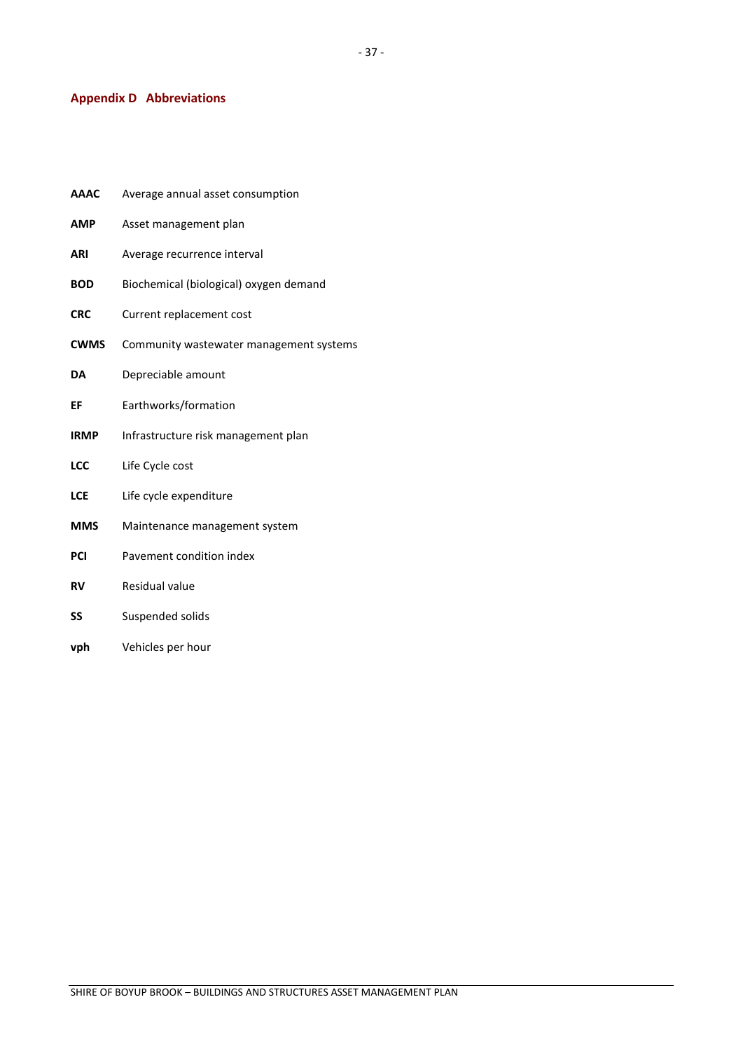# **Appendix D Abbreviations**

- **AAAC** Average annual asset consumption **AMP** Asset management plan **ARI** Average recurrence interval **BOD** Biochemical (biological) oxygen demand **CRC** Current replacement cost **CWMS** Community wastewater management systems **DA** Depreciable amount **EF** Earthworks/formation **IRMP** Infrastructure risk management plan **LCC** Life Cycle cost **LCE** Life cycle expenditure **MMS** Maintenance management system **PCI** Pavement condition index **RV** Residual value **SS** Suspended solids
- **vph** Vehicles per hour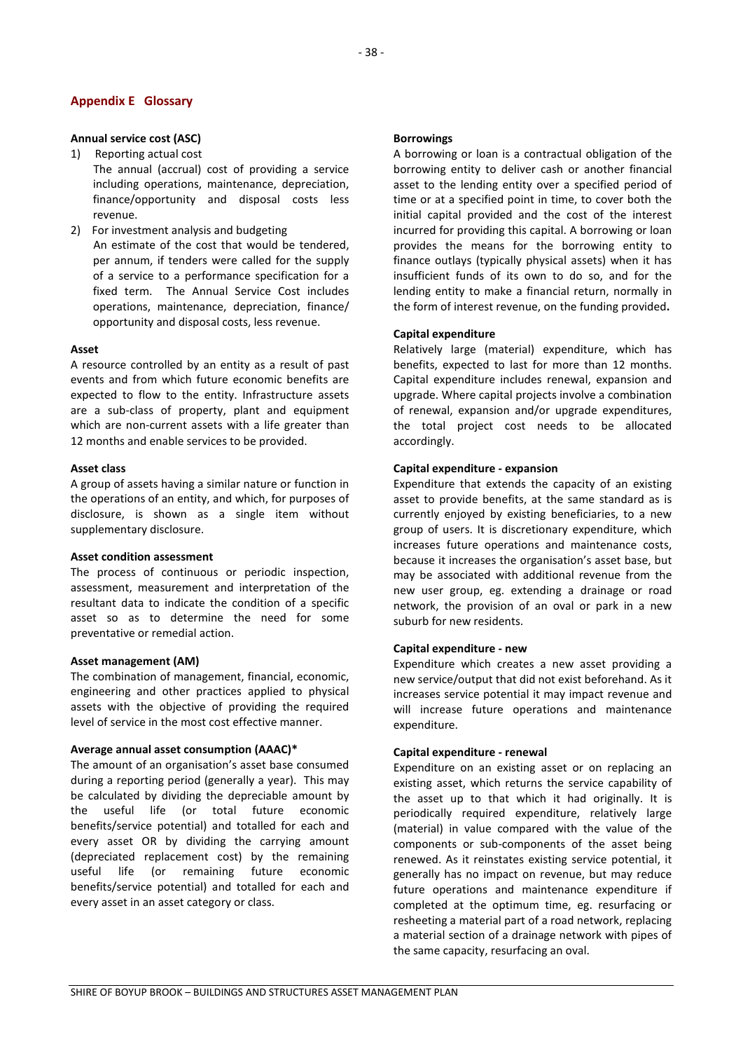# <span id="page-43-0"></span>**Appendix E Glossary**

#### **Annual service cost (ASC)**

- 1) Reporting actual cost The annual (accrual) cost of providing a service including operations, maintenance, depreciation, finance/opportunity and disposal costs less revenue.
- 2) For investment analysis and budgeting An estimate of the cost that would be tendered, per annum, if tenders were called for the supply of a service to a performance specification for a fixed term. The Annual Service Cost includes operations, maintenance, depreciation, finance/ opportunity and disposal costs, less revenue.

#### **Asset**

A resource controlled by an entity as a result of past events and from which future economic benefits are expected to flow to the entity. Infrastructure assets are a sub-class of property, plant and equipment which are non-current assets with a life greater than 12 months and enable services to be provided.

#### **Asset class**

A group of assets having a similar nature or function in the operations of an entity, and which, for purposes of disclosure, is shown as a single item without supplementary disclosure.

#### **Asset condition assessment**

The process of continuous or periodic inspection, assessment, measurement and interpretation of the resultant data to indicate the condition of a specific asset so as to determine the need for some preventative or remedial action.

#### **Asset management (AM)**

The combination of management, financial, economic, engineering and other practices applied to physical assets with the objective of providing the required level of service in the most cost effective manner.

#### **Average annual asset consumption (AAAC)\***

The amount of an organisation's asset base consumed during a reporting period (generally a year). This may be calculated by dividing the depreciable amount by the useful life (or total future economic benefits/service potential) and totalled for each and every asset OR by dividing the carrying amount (depreciated replacement cost) by the remaining useful life (or remaining future economic benefits/service potential) and totalled for each and every asset in an asset category or class.

#### **Borrowings**

A borrowing or loan is a contractual obligation of the borrowing entity to deliver cash or another financial asset to the lending entity over a specified period of time or at a specified point in time, to cover both the initial capital provided and the cost of the interest incurred for providing this capital. A borrowing or loan provides the means for the borrowing entity to finance outlays (typically physical assets) when it has insufficient funds of its own to do so, and for the lending entity to make a financial return, normally in the form of interest revenue, on the funding provided**.**

#### **Capital expenditure**

Relatively large (material) expenditure, which has benefits, expected to last for more than 12 months. Capital expenditure includes renewal, expansion and upgrade. Where capital projects involve a combination of renewal, expansion and/or upgrade expenditures, the total project cost needs to be allocated accordingly.

#### **Capital expenditure - expansion**

Expenditure that extends the capacity of an existing asset to provide benefits, at the same standard as is currently enjoyed by existing beneficiaries, to a new group of users. It is discretionary expenditure, which increases future operations and maintenance costs, because it increases the organisation's asset base, but may be associated with additional revenue from the new user group, eg. extending a drainage or road network, the provision of an oval or park in a new suburb for new residents.

#### **Capital expenditure - new**

Expenditure which creates a new asset providing a new service/output that did not exist beforehand. As it increases service potential it may impact revenue and will increase future operations and maintenance expenditure.

#### **Capital expenditure - renewal**

Expenditure on an existing asset or on replacing an existing asset, which returns the service capability of the asset up to that which it had originally. It is periodically required expenditure, relatively large (material) in value compared with the value of the components or sub-components of the asset being renewed. As it reinstates existing service potential, it generally has no impact on revenue, but may reduce future operations and maintenance expenditure if completed at the optimum time, eg. resurfacing or resheeting a material part of a road network, replacing a material section of a drainage network with pipes of the same capacity, resurfacing an oval.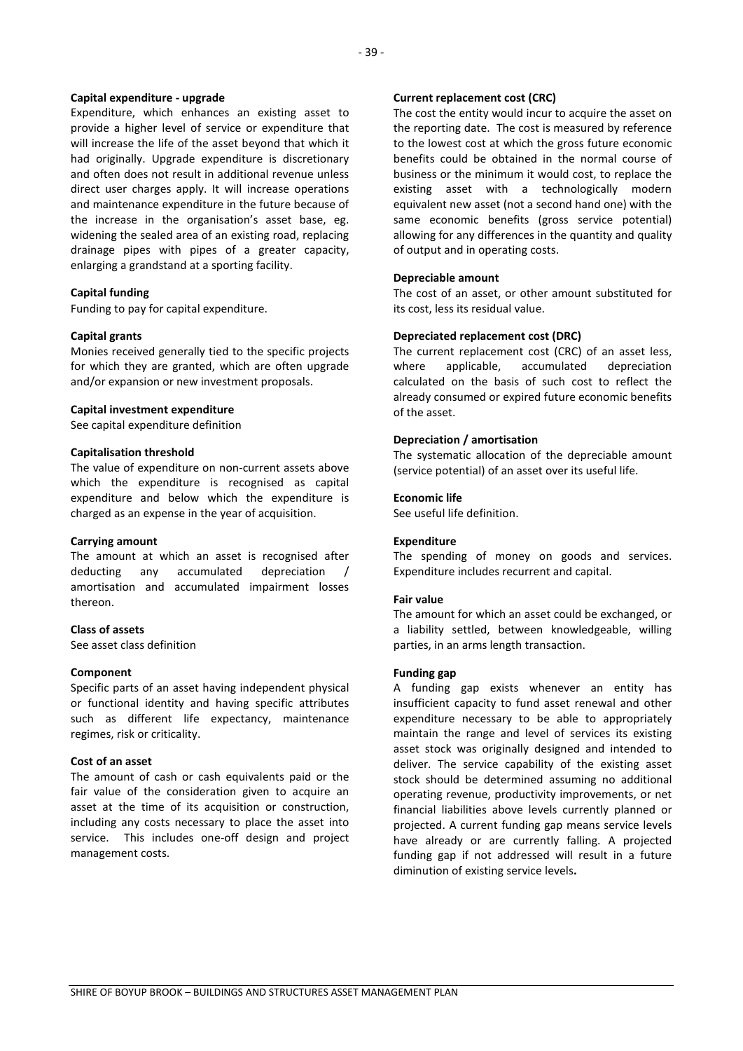#### **Capital expenditure - upgrade**

Expenditure, which enhances an existing asset to provide a higher level of service or expenditure that will increase the life of the asset beyond that which it had originally. Upgrade expenditure is discretionary and often does not result in additional revenue unless direct user charges apply. It will increase operations and maintenance expenditure in the future because of the increase in the organisation's asset base, eg. widening the sealed area of an existing road, replacing drainage pipes with pipes of a greater capacity, enlarging a grandstand at a sporting facility.

#### **Capital funding**

Funding to pay for capital expenditure.

#### **Capital grants**

Monies received generally tied to the specific projects for which they are granted, which are often upgrade and/or expansion or new investment proposals.

#### **Capital investment expenditure**

See capital expenditure definition

#### **Capitalisation threshold**

The value of expenditure on non-current assets above which the expenditure is recognised as capital expenditure and below which the expenditure is charged as an expense in the year of acquisition.

#### **Carrying amount**

The amount at which an asset is recognised after deducting any accumulated depreciation / amortisation and accumulated impairment losses thereon.

#### **Class of assets**

See asset class definition

#### **Component**

Specific parts of an asset having independent physical or functional identity and having specific attributes such as different life expectancy, maintenance regimes, risk or criticality.

#### **Cost of an asset**

The amount of cash or cash equivalents paid or the fair value of the consideration given to acquire an asset at the time of its acquisition or construction, including any costs necessary to place the asset into service. This includes one-off design and project management costs.

#### **Current replacement cost (CRC)**

The cost the entity would incur to acquire the asset on the reporting date. The cost is measured by reference to the lowest cost at which the gross future economic benefits could be obtained in the normal course of business or the minimum it would cost, to replace the existing asset with a technologically modern equivalent new asset (not a second hand one) with the same economic benefits (gross service potential) allowing for any differences in the quantity and quality of output and in operating costs.

#### **Depreciable amount**

The cost of an asset, or other amount substituted for its cost, less its residual value.

#### **Depreciated replacement cost (DRC)**

The current replacement cost (CRC) of an asset less, where applicable, accumulated depreciation calculated on the basis of such cost to reflect the already consumed or expired future economic benefits of the asset.

## **Depreciation / amortisation**

The systematic allocation of the depreciable amount (service potential) of an asset over its useful life.

#### **Economic life**

See useful life definition.

#### **Expenditure**

The spending of money on goods and services. Expenditure includes recurrent and capital.

#### **Fair value**

The amount for which an asset could be exchanged, or a liability settled, between knowledgeable, willing parties, in an arms length transaction.

#### **Funding gap**

A funding gap exists whenever an entity has insufficient capacity to fund asset renewal and other expenditure necessary to be able to appropriately maintain the range and level of services its existing asset stock was originally designed and intended to deliver. The service capability of the existing asset stock should be determined assuming no additional operating revenue, productivity improvements, or net financial liabilities above levels currently planned or projected. A current funding gap means service levels have already or are currently falling. A projected funding gap if not addressed will result in a future diminution of existing service levels**.**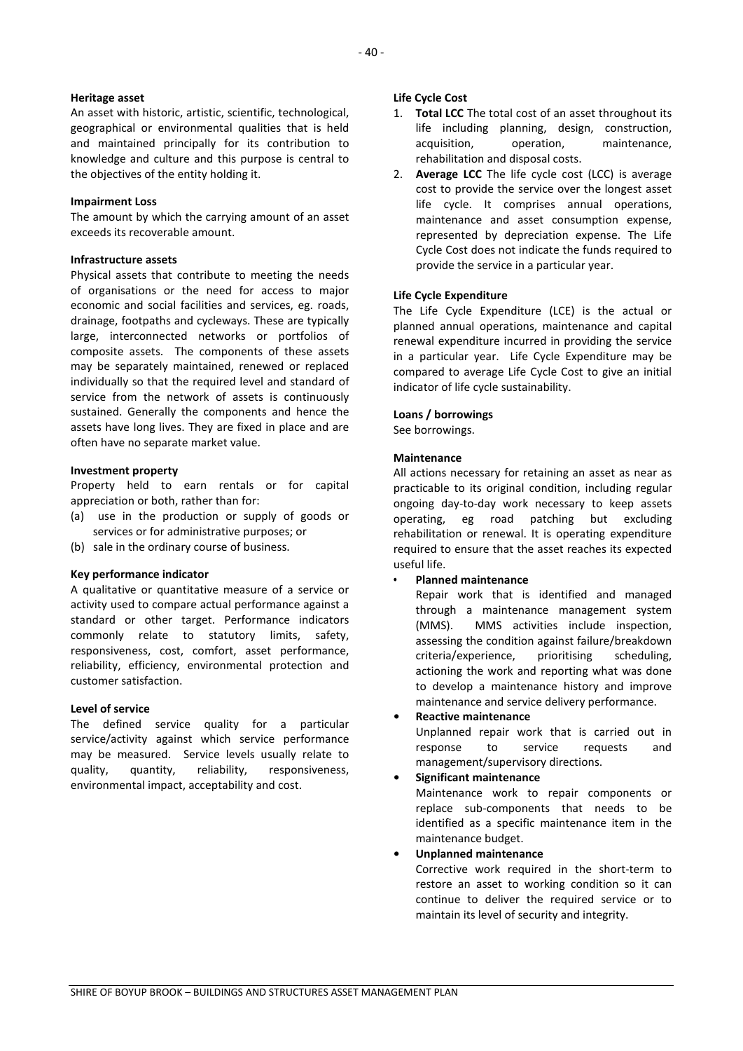## **Heritage asset**

An asset with historic, artistic, scientific, technological, geographical or environmental qualities that is held and maintained principally for its contribution to knowledge and culture and this purpose is central to the objectives of the entity holding it.

#### **Impairment Loss**

The amount by which the carrying amount of an asset exceeds its recoverable amount.

## **Infrastructure assets**

Physical assets that contribute to meeting the needs of organisations or the need for access to major economic and social facilities and services, eg. roads, drainage, footpaths and cycleways. These are typically large, interconnected networks or portfolios of composite assets. The components of these assets may be separately maintained, renewed or replaced individually so that the required level and standard of service from the network of assets is continuously sustained. Generally the components and hence the assets have long lives. They are fixed in place and are often have no separate market value.

## **Investment property**

Property held to earn rentals or for capital appreciation or both, rather than for:

- (a) use in the production or supply of goods or services or for administrative purposes; or
- (b) sale in the ordinary course of business.

#### **Key performance indicator**

A qualitative or quantitative measure of a service or activity used to compare actual performance against a standard or other target. Performance indicators commonly relate to statutory limits, safety, responsiveness, cost, comfort, asset performance, reliability, efficiency, environmental protection and customer satisfaction.

# **Level of service**

The defined service quality for a particular service/activity against which service performance may be measured. Service levels usually relate to quality, quantity, reliability, responsiveness, environmental impact, acceptability and cost.

#### **Life Cycle Cost**

- 1. **Total LCC** The total cost of an asset throughout its life including planning, design, construction, acquisition, operation, maintenance, rehabilitation and disposal costs.
- 2. **Average LCC** The life cycle cost (LCC) is average cost to provide the service over the longest asset life cycle. It comprises annual operations, maintenance and asset consumption expense, represented by depreciation expense. The Life Cycle Cost does not indicate the funds required to provide the service in a particular year.

# **Life Cycle Expenditure**

The Life Cycle Expenditure (LCE) is the actual or planned annual operations, maintenance and capital renewal expenditure incurred in providing the service in a particular year. Life Cycle Expenditure may be compared to average Life Cycle Cost to give an initial indicator of life cycle sustainability.

## **Loans / borrowings**

See borrowings.

## **Maintenance**

All actions necessary for retaining an asset as near as practicable to its original condition, including regular ongoing day-to-day work necessary to keep assets operating, eg road patching but excluding rehabilitation or renewal. It is operating expenditure required to ensure that the asset reaches its expected useful life.

• **Planned maintenance**

Repair work that is identified and managed through a maintenance management system (MMS). MMS activities include inspection, assessing the condition against failure/breakdown criteria/experience, prioritising scheduling, actioning the work and reporting what was done to develop a maintenance history and improve maintenance and service delivery performance.

**• Reactive maintenance**

Unplanned repair work that is carried out in response to service requests and management/supervisory directions.

# **• Significant maintenance**

Maintenance work to repair components or replace sub-components that needs to be identified as a specific maintenance item in the maintenance budget.

#### **• Unplanned maintenance**

Corrective work required in the short-term to restore an asset to working condition so it can continue to deliver the required service or to maintain its level of security and integrity.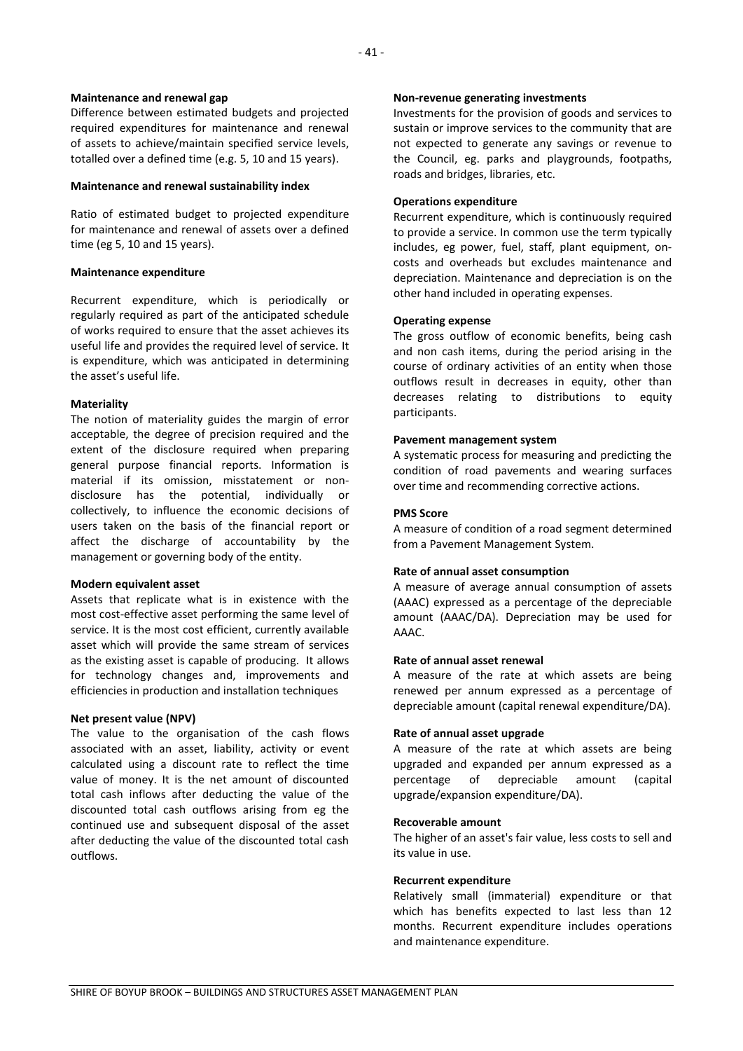#### **Maintenance and renewal gap**

Difference between estimated budgets and projected required expenditures for maintenance and renewal of assets to achieve/maintain specified service levels, totalled over a defined time (e.g. 5, 10 and 15 years).

#### **Maintenance and renewal sustainability index**

Ratio of estimated budget to projected expenditure for maintenance and renewal of assets over a defined time (eg 5, 10 and 15 years).

## **Maintenance expenditure**

Recurrent expenditure, which is periodically or regularly required as part of the anticipated schedule of works required to ensure that the asset achieves its useful life and provides the required level of service. It is expenditure, which was anticipated in determining the asset's useful life.

## **Materiality**

The notion of materiality guides the margin of error acceptable, the degree of precision required and the extent of the disclosure required when preparing general purpose financial reports. Information is material if its omission, misstatement or nondisclosure has the potential, individually or collectively, to influence the economic decisions of users taken on the basis of the financial report or affect the discharge of accountability by the management or governing body of the entity.

# **Modern equivalent asset**

Assets that replicate what is in existence with the most cost-effective asset performing the same level of service. It is the most cost efficient, currently available asset which will provide the same stream of services as the existing asset is capable of producing. It allows for technology changes and, improvements and efficiencies in production and installation techniques

# **Net present value (NPV)**

The value to the organisation of the cash flows associated with an asset, liability, activity or event calculated using a discount rate to reflect the time value of money. It is the net amount of discounted total cash inflows after deducting the value of the discounted total cash outflows arising from eg the continued use and subsequent disposal of the asset after deducting the value of the discounted total cash outflows.

#### **Non-revenue generating investments**

Investments for the provision of goods and services to sustain or improve services to the community that are not expected to generate any savings or revenue to the Council, eg. parks and playgrounds, footpaths, roads and bridges, libraries, etc.

## **Operations expenditure**

Recurrent expenditure, which is continuously required to provide a service. In common use the term typically includes, eg power, fuel, staff, plant equipment, oncosts and overheads but excludes maintenance and depreciation. Maintenance and depreciation is on the other hand included in operating expenses.

## **Operating expense**

The gross outflow of economic benefits, being cash and non cash items, during the period arising in the course of ordinary activities of an entity when those outflows result in decreases in equity, other than decreases relating to distributions to equity participants.

# **Pavement management system**

A systematic process for measuring and predicting the condition of road pavements and wearing surfaces over time and recommending corrective actions.

## **PMS Score**

A measure of condition of a road segment determined from a Pavement Management System.

# **Rate of annual asset consumption**

A measure of average annual consumption of assets (AAAC) expressed as a percentage of the depreciable amount (AAAC/DA). Depreciation may be used for AAAC.

#### **Rate of annual asset renewal**

A measure of the rate at which assets are being renewed per annum expressed as a percentage of depreciable amount (capital renewal expenditure/DA).

# **Rate of annual asset upgrade**

A measure of the rate at which assets are being upgraded and expanded per annum expressed as a percentage of depreciable amount (capital upgrade/expansion expenditure/DA).

#### **Recoverable amount**

The higher of an asset's fair value, less costs to sell and its value in use.

#### **Recurrent expenditure**

Relatively small (immaterial) expenditure or that which has benefits expected to last less than 12 months. Recurrent expenditure includes operations and maintenance expenditure.